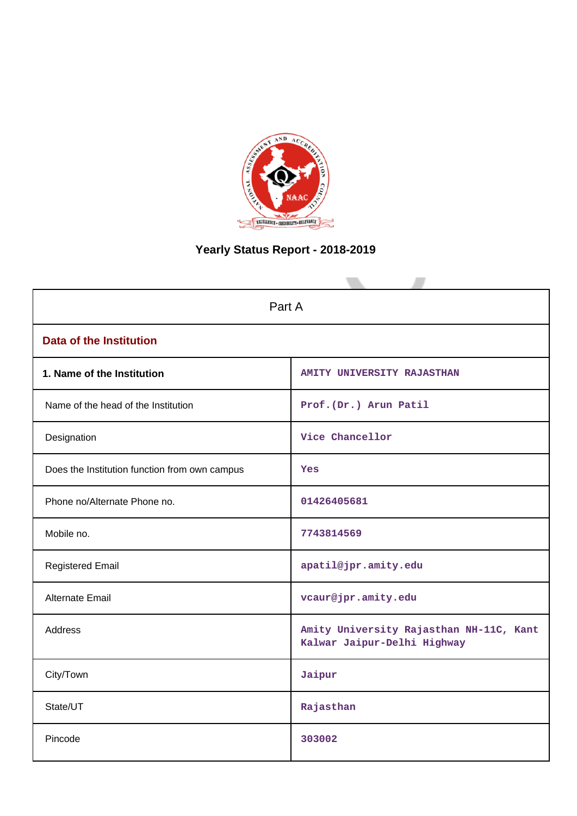

# **Yearly Status Report - 2018-2019**

| Part A                                        |                                                                        |  |  |  |
|-----------------------------------------------|------------------------------------------------------------------------|--|--|--|
| <b>Data of the Institution</b>                |                                                                        |  |  |  |
| 1. Name of the Institution                    | AMITY UNIVERSITY RAJASTHAN                                             |  |  |  |
| Name of the head of the Institution           | Prof. (Dr.) Arun Patil                                                 |  |  |  |
| Designation                                   | Vice Chancellor                                                        |  |  |  |
| Does the Institution function from own campus | Yes                                                                    |  |  |  |
| Phone no/Alternate Phone no.                  | 01426405681                                                            |  |  |  |
| Mobile no.                                    | 7743814569                                                             |  |  |  |
| <b>Registered Email</b>                       | apatil@jpr.amity.edu                                                   |  |  |  |
| <b>Alternate Email</b>                        | vcaur@jpr.amity.edu                                                    |  |  |  |
| <b>Address</b>                                | Amity University Rajasthan NH-11C, Kant<br>Kalwar Jaipur-Delhi Highway |  |  |  |
| City/Town                                     | Jaipur                                                                 |  |  |  |
| State/UT                                      | Rajasthan                                                              |  |  |  |
| Pincode                                       | 303002                                                                 |  |  |  |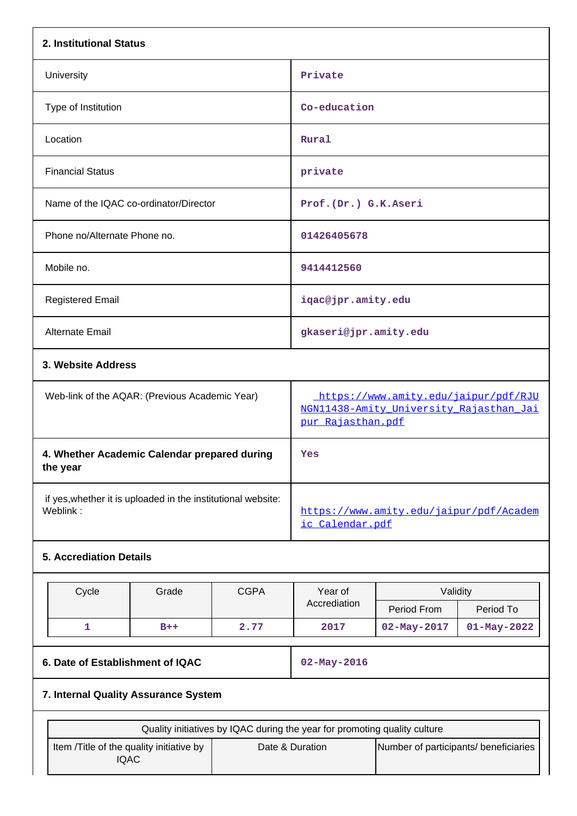| 2. Institutional Status                                                   |                                                              |             |                                                                                                      |                                       |                   |  |
|---------------------------------------------------------------------------|--------------------------------------------------------------|-------------|------------------------------------------------------------------------------------------------------|---------------------------------------|-------------------|--|
| University                                                                |                                                              |             | Private                                                                                              |                                       |                   |  |
| Type of Institution                                                       |                                                              |             |                                                                                                      | Co-education                          |                   |  |
| Location                                                                  |                                                              |             | Rural                                                                                                |                                       |                   |  |
| <b>Financial Status</b>                                                   |                                                              |             | private                                                                                              |                                       |                   |  |
| Name of the IQAC co-ordinator/Director                                    |                                                              |             | Prof. (Dr.) G.K.Aseri                                                                                |                                       |                   |  |
| Phone no/Alternate Phone no.                                              |                                                              |             | 01426405678                                                                                          |                                       |                   |  |
| Mobile no.                                                                |                                                              |             | 9414412560                                                                                           |                                       |                   |  |
| <b>Registered Email</b>                                                   |                                                              |             | iqac@jpr.amity.edu                                                                                   |                                       |                   |  |
| Alternate Email                                                           |                                                              |             | gkaseri@jpr.amity.edu                                                                                |                                       |                   |  |
|                                                                           | 3. Website Address                                           |             |                                                                                                      |                                       |                   |  |
|                                                                           | Web-link of the AQAR: (Previous Academic Year)               |             | https://www.amity.edu/jaipur/pdf/RJU<br>NGN11438-Amity University Rajasthan Jai<br>pur Rajasthan.pdf |                                       |                   |  |
| 4. Whether Academic Calendar prepared during<br>the year                  |                                                              |             | Yes                                                                                                  |                                       |                   |  |
| Weblink:                                                                  | if yes, whether it is uploaded in the institutional website: |             | https://www.amity.edu/jaipur/pdf/Academ<br>ic Calendar.pdf                                           |                                       |                   |  |
| <b>5. Accrediation Details</b>                                            |                                                              |             |                                                                                                      |                                       |                   |  |
| Cycle                                                                     | Grade                                                        | <b>CGPA</b> | Year of                                                                                              | Validity                              |                   |  |
|                                                                           |                                                              |             | Accrediation                                                                                         | Period From                           | Period To         |  |
| $\mathbf{1}$                                                              | $B++$                                                        | 2.77        | 2017                                                                                                 | $02 - May - 2017$                     | $01 - May - 2022$ |  |
|                                                                           | 6. Date of Establishment of IQAC                             |             |                                                                                                      | $02 - May - 2016$                     |                   |  |
| 7. Internal Quality Assurance System                                      |                                                              |             |                                                                                                      |                                       |                   |  |
| Quality initiatives by IQAC during the year for promoting quality culture |                                                              |             |                                                                                                      |                                       |                   |  |
| Item /Title of the quality initiative by<br><b>IQAC</b>                   |                                                              |             | Date & Duration                                                                                      | Number of participants/ beneficiaries |                   |  |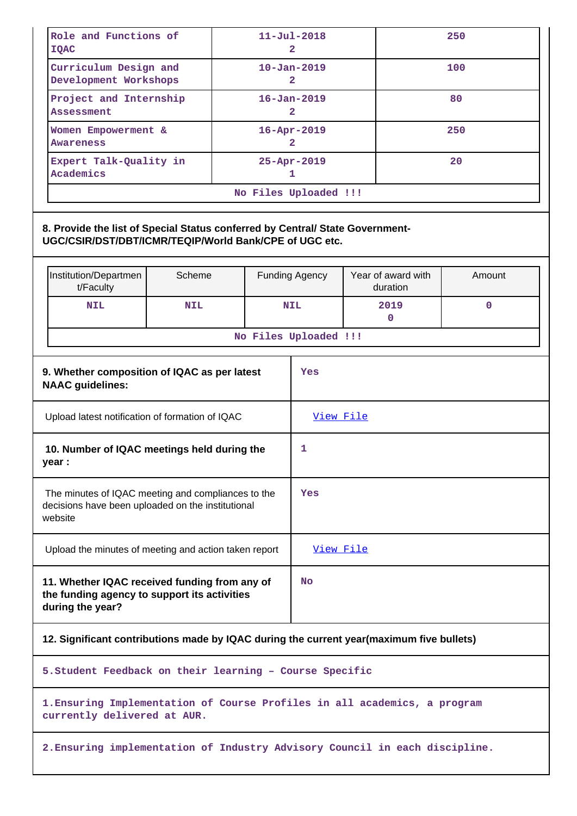| Role and Functions of<br><b>IQAC</b>                                                                                                    |  | $11 - Ju1 - 2018$<br>2              |                                | 250    |  |
|-----------------------------------------------------------------------------------------------------------------------------------------|--|-------------------------------------|--------------------------------|--------|--|
| Curriculum Design and<br>Development Workshops                                                                                          |  | $10 - Jan - 2019$<br>2              |                                | 100    |  |
| Project and Internship<br><b>Assessment</b>                                                                                             |  | $16 - Jan - 2019$<br>$\overline{a}$ |                                | 80     |  |
| Women Empowerment &<br>Awareness                                                                                                        |  | 16-Apr-2019<br>$\overline{a}$       |                                | 250    |  |
| Expert Talk-Quality in<br>Academics                                                                                                     |  | 25-Apr-2019<br>1                    |                                | 20     |  |
|                                                                                                                                         |  | No Files Uploaded !!!               |                                |        |  |
| 8. Provide the list of Special Status conferred by Central/ State Government-<br>UGC/CSIR/DST/DBT/ICMR/TEQIP/World Bank/CPE of UGC etc. |  |                                     |                                |        |  |
| Scheme<br>Institution/Departmen<br>t/Faculty                                                                                            |  | <b>Funding Agency</b>               | Year of award with<br>duration | Amount |  |
| <b>NIL</b><br><b>NIL</b>                                                                                                                |  | <b>NIL</b>                          | 2019<br>0                      | 0      |  |
|                                                                                                                                         |  | No Files Uploaded !!!               |                                |        |  |
| 9. Whether composition of IQAC as per latest<br><b>NAAC</b> guidelines:                                                                 |  | Yes                                 |                                |        |  |
| Upload latest notification of formation of IQAC                                                                                         |  | View File                           |                                |        |  |
| 10. Number of IQAC meetings held during the<br>year :                                                                                   |  | 1                                   |                                |        |  |
| The minutes of IQAC meeting and compliances to the<br>decisions have been uploaded on the institutional<br>website                      |  | Yes                                 |                                |        |  |
| Upload the minutes of meeting and action taken report                                                                                   |  | View File                           |                                |        |  |
| 11. Whether IQAC received funding from any of<br><b>No</b><br>the funding agency to support its activities<br>during the year?          |  |                                     |                                |        |  |
| 12. Significant contributions made by IQAC during the current year(maximum five bullets)                                                |  |                                     |                                |        |  |
| 5. Student Feedback on their learning - Course Specific                                                                                 |  |                                     |                                |        |  |
| 1. Ensuring Implementation of Course Profiles in all academics, a program<br>currently delivered at AUR.                                |  |                                     |                                |        |  |
| 2. Ensuring implementation of Industry Advisory Council in each discipline.                                                             |  |                                     |                                |        |  |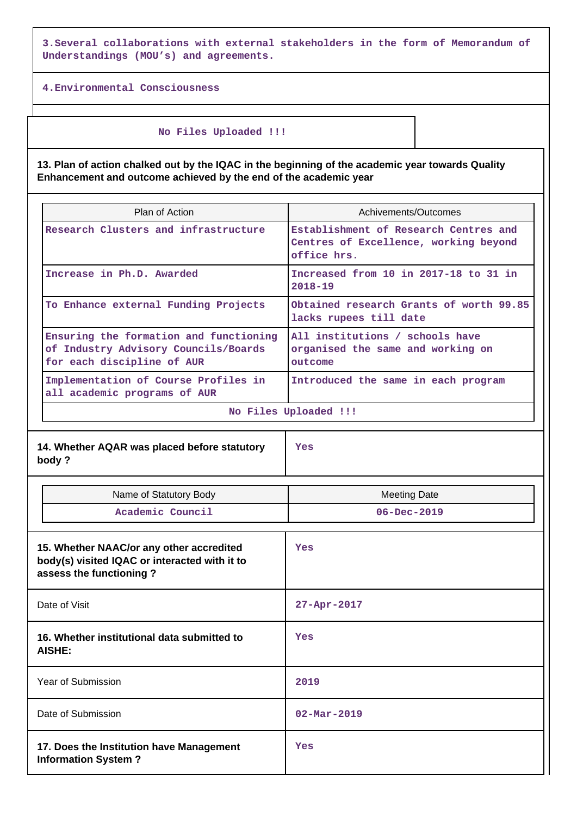**3.Several collaborations with external stakeholders in the form of Memorandum of Understandings (MOU's) and agreements.**

**4.Environmental Consciousness**

 **No Files Uploaded !!!**

**13. Plan of action chalked out by the IQAC in the beginning of the academic year towards Quality Enhancement and outcome achieved by the end of the academic year**

| <b>Plan of Action</b>                                                                                        | Achivements/Outcomes                                                                          |  |  |  |
|--------------------------------------------------------------------------------------------------------------|-----------------------------------------------------------------------------------------------|--|--|--|
| Research Clusters and infrastructure                                                                         | Establishment of Research Centres and<br>Centres of Excellence, working beyond<br>office hrs. |  |  |  |
| Increase in Ph.D. Awarded                                                                                    | Increased from 10 in 2017-18 to 31 in<br>$2018 - 19$                                          |  |  |  |
| To Enhance external Funding Projects                                                                         | Obtained research Grants of worth 99.85<br>lacks rupees till date                             |  |  |  |
| Ensuring the formation and functioning<br>of Industry Advisory Councils/Boards<br>for each discipline of AUR | All institutions / schools have<br>organised the same and working on<br>outcome               |  |  |  |
| Implementation of Course Profiles in<br>all academic programs of AUR                                         | Introduced the same in each program                                                           |  |  |  |
| No Files Uploaded !!!                                                                                        |                                                                                               |  |  |  |

| Name of Statutory Body                                                                                               | <b>Meeting Date</b>      |
|----------------------------------------------------------------------------------------------------------------------|--------------------------|
| Academic Council                                                                                                     | $06 - Dec - 2019$        |
| 15. Whether NAAC/or any other accredited<br>body(s) visited IQAC or interacted with it to<br>assess the functioning? | Yes                      |
| Date of Visit                                                                                                        | 27-Apr-2017              |
| 16. Whether institutional data submitted to<br><b>AISHE:</b>                                                         | Yes                      |
| Year of Submission                                                                                                   | 2019                     |
| Date of Submission                                                                                                   | $02 - \text{Mar} - 2019$ |
| 17. Does the Institution have Management<br><b>Information System?</b>                                               | Yes                      |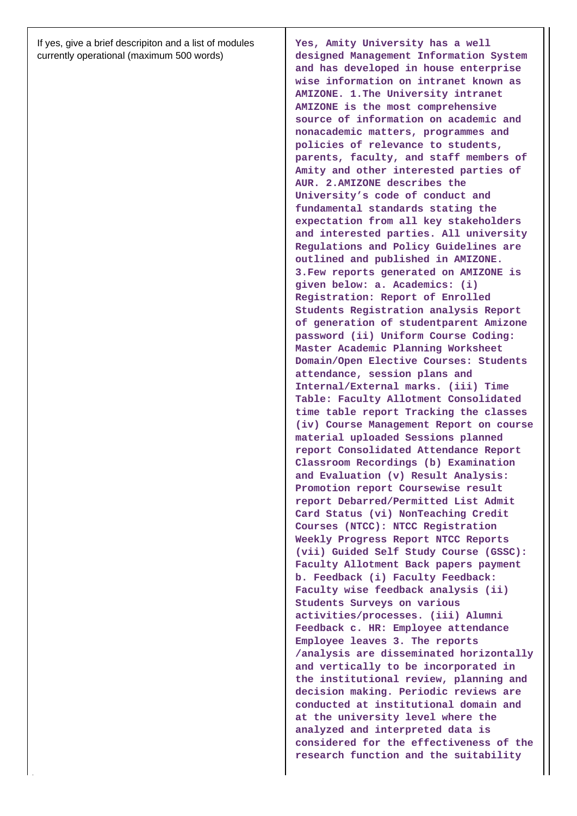If yes, give a brief descripiton and a list of modules currently operational (maximum 500 words)

**Yes, Amity University has a well designed Management Information System and has developed in house enterprise wise information on intranet known as AMIZONE. 1.The University intranet AMIZONE is the most comprehensive source of information on academic and nonacademic matters, programmes and policies of relevance to students, parents, faculty, and staff members of Amity and other interested parties of AUR. 2.AMIZONE describes the University's code of conduct and fundamental standards stating the expectation from all key stakeholders and interested parties. All university Regulations and Policy Guidelines are outlined and published in AMIZONE. 3.Few reports generated on AMIZONE is given below: a. Academics: (i) Registration: Report of Enrolled Students Registration analysis Report of generation of studentparent Amizone password (ii) Uniform Course Coding: Master Academic Planning Worksheet Domain/Open Elective Courses: Students attendance, session plans and Internal/External marks. (iii) Time Table: Faculty Allotment Consolidated time table report Tracking the classes (iv) Course Management Report on course material uploaded Sessions planned report Consolidated Attendance Report Classroom Recordings (b) Examination and Evaluation (v) Result Analysis: Promotion report Coursewise result report Debarred/Permitted List Admit Card Status (vi) NonTeaching Credit Courses (NTCC): NTCC Registration Weekly Progress Report NTCC Reports (vii) Guided Self Study Course (GSSC): Faculty Allotment Back papers payment b. Feedback (i) Faculty Feedback: Faculty wise feedback analysis (ii) Students Surveys on various activities/processes. (iii) Alumni Feedback c. HR: Employee attendance Employee leaves 3. The reports /analysis are disseminated horizontally and vertically to be incorporated in the institutional review, planning and decision making. Periodic reviews are conducted at institutional domain and at the university level where the analyzed and interpreted data is considered for the effectiveness of the research function and the suitability**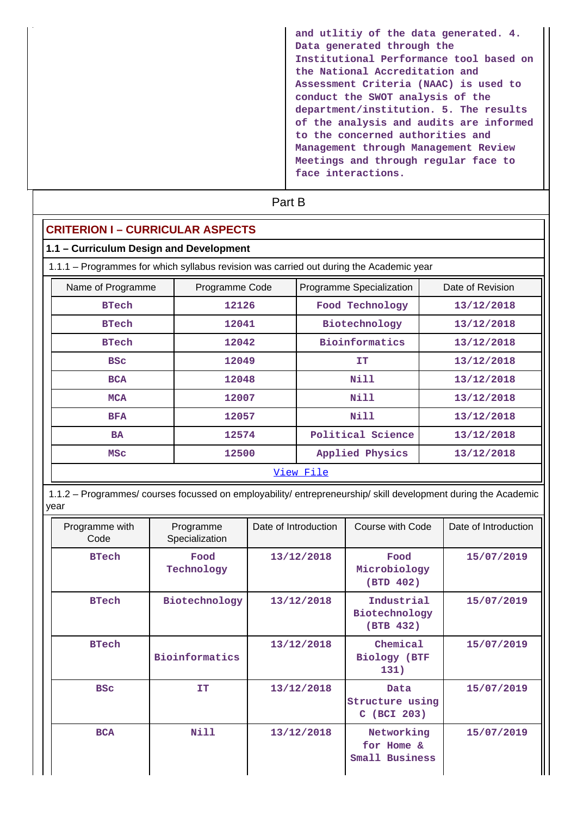| and utlitiy of the data generated. 4.<br>Data generated through the<br>Institutional Performance tool based on<br>the National Accreditation and<br>Assessment Criteria (NAAC) is used to<br>conduct the SWOT analysis of the<br>department/institution. 5. The results<br>of the analysis and audits are informed<br>to the concerned authorities and<br>Management through Management Review<br>Meetings and through regular face to<br>face interactions. |
|--------------------------------------------------------------------------------------------------------------------------------------------------------------------------------------------------------------------------------------------------------------------------------------------------------------------------------------------------------------------------------------------------------------------------------------------------------------|
|                                                                                                                                                                                                                                                                                                                                                                                                                                                              |

| 1.1 - Curriculum Design and Development |                                  |                                                                                         |                  |  |  |
|-----------------------------------------|----------------------------------|-----------------------------------------------------------------------------------------|------------------|--|--|
|                                         |                                  | 1.1.1 - Programmes for which syllabus revision was carried out during the Academic year |                  |  |  |
| Name of Programme                       | Programme Code                   | Programme Specialization                                                                | Date of Revision |  |  |
| <b>BTech</b>                            | 12126                            | Food Technology                                                                         | 13/12/2018       |  |  |
| <b>BTech</b>                            | 12041                            | Biotechnology                                                                           | 13/12/2018       |  |  |
| <b>BTech</b>                            | 12042                            | <b>Bioinformatics</b>                                                                   | 13/12/2018       |  |  |
| <b>BSC</b>                              | 12049<br>13/12/2018<br><b>IT</b> |                                                                                         |                  |  |  |
| <b>BCA</b>                              | 12048                            | Nill                                                                                    | 13/12/2018       |  |  |
| <b>MCA</b>                              | 12007                            | Nill                                                                                    | 13/12/2018       |  |  |
| <b>BFA</b>                              | 12057                            | Nill                                                                                    | 13/12/2018       |  |  |
| <b>BA</b>                               | 12574                            | Political Science                                                                       | 13/12/2018       |  |  |
| <b>MSC</b>                              | 12500                            | Applied Physics                                                                         | 13/12/2018       |  |  |
| View File                               |                                  |                                                                                         |                  |  |  |

| Programme with<br>Code | Programme<br>Specialization | Date of Introduction | Course with Code                           | Date of Introduction |
|------------------------|-----------------------------|----------------------|--------------------------------------------|----------------------|
| <b>BTech</b>           | Food<br>Technology          | 13/12/2018           | Food<br>Microbiology<br>(BTD 402)          | 15/07/2019           |
| <b>BTech</b>           | Biotechnology               | 13/12/2018           | Industrial<br>Biotechnology<br>(BTB 432)   | 15/07/2019           |
| <b>BTech</b>           | Bioinformatics              | 13/12/2018           | Chemical<br>Biology (BTF<br>131)           | 15/07/2019           |
| <b>BSC</b>             | <b>TT</b>                   | 13/12/2018           | Data<br>Structure using<br>C (BCI 203)     | 15/07/2019           |
| <b>BCA</b>             | Nill                        | 13/12/2018           | Networking<br>for Home &<br>Small Business | 15/07/2019           |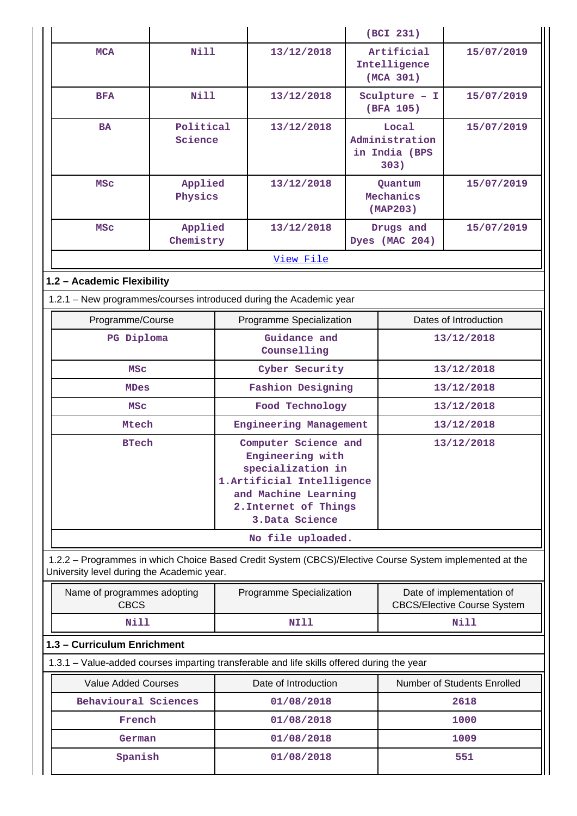|                                                                                                                                                       |                      |                                                                                                                                                                 |                          |                            | (BCI 231)                                                       |                             |
|-------------------------------------------------------------------------------------------------------------------------------------------------------|----------------------|-----------------------------------------------------------------------------------------------------------------------------------------------------------------|--------------------------|----------------------------|-----------------------------------------------------------------|-----------------------------|
| <b>MCA</b>                                                                                                                                            | Nill                 |                                                                                                                                                                 | 13/12/2018               |                            | Artificial<br>Intelligence<br>(MCA 301)                         | 15/07/2019                  |
| <b>BFA</b>                                                                                                                                            | <b>Nill</b>          |                                                                                                                                                                 | 13/12/2018               | Sculpture - I<br>(BFA 105) |                                                                 | 15/07/2019                  |
| <b>BA</b>                                                                                                                                             | Political<br>Science |                                                                                                                                                                 | 13/12/2018               |                            | Local<br>Administration<br>in India (BPS<br>303)                | 15/07/2019                  |
| <b>MSC</b>                                                                                                                                            | Applied<br>Physics   |                                                                                                                                                                 | 13/12/2018               |                            | Quantum<br>Mechanics<br>(MAP203)                                | 15/07/2019                  |
| <b>MSC</b>                                                                                                                                            | Applied<br>Chemistry |                                                                                                                                                                 | 13/12/2018               |                            | Drugs and<br>Dyes (MAC 204)                                     | 15/07/2019                  |
|                                                                                                                                                       |                      |                                                                                                                                                                 | View File                |                            |                                                                 |                             |
| 1.2 - Academic Flexibility                                                                                                                            |                      |                                                                                                                                                                 |                          |                            |                                                                 |                             |
| 1.2.1 - New programmes/courses introduced during the Academic year                                                                                    |                      |                                                                                                                                                                 |                          |                            |                                                                 |                             |
| Programme/Course                                                                                                                                      |                      |                                                                                                                                                                 | Programme Specialization |                            |                                                                 | Dates of Introduction       |
| PG Diploma                                                                                                                                            |                      | Guidance and<br>Counselling                                                                                                                                     |                          | 13/12/2018                 |                                                                 |                             |
| <b>MSC</b>                                                                                                                                            |                      |                                                                                                                                                                 | Cyber Security           |                            | 13/12/2018                                                      |                             |
| <b>MDes</b>                                                                                                                                           |                      | <b>Fashion Designing</b>                                                                                                                                        |                          | 13/12/2018                 |                                                                 |                             |
| <b>MSC</b>                                                                                                                                            |                      | Food Technology                                                                                                                                                 |                          | 13/12/2018                 |                                                                 |                             |
| Mtech                                                                                                                                                 |                      | Engineering Management                                                                                                                                          |                          | 13/12/2018                 |                                                                 |                             |
| <b>BTech</b>                                                                                                                                          |                      | Computer Science and<br>Engineering with<br>specialization in<br>1. Artificial Intelligence<br>and Machine Learning<br>2. Internet of Things<br>3. Data Science |                          | 13/12/2018                 |                                                                 |                             |
|                                                                                                                                                       |                      |                                                                                                                                                                 | No file uploaded.        |                            |                                                                 |                             |
| 1.2.2 - Programmes in which Choice Based Credit System (CBCS)/Elective Course System implemented at the<br>University level during the Academic year. |                      |                                                                                                                                                                 |                          |                            |                                                                 |                             |
| Name of programmes adopting<br><b>CBCS</b>                                                                                                            |                      | Programme Specialization                                                                                                                                        |                          |                            | Date of implementation of<br><b>CBCS/Elective Course System</b> |                             |
| Nill                                                                                                                                                  |                      | NI11                                                                                                                                                            |                          |                            | Nill                                                            |                             |
| 1.3 - Curriculum Enrichment                                                                                                                           |                      |                                                                                                                                                                 |                          |                            |                                                                 |                             |
| 1.3.1 – Value-added courses imparting transferable and life skills offered during the year                                                            |                      |                                                                                                                                                                 |                          |                            |                                                                 |                             |
| <b>Value Added Courses</b>                                                                                                                            |                      |                                                                                                                                                                 | Date of Introduction     |                            |                                                                 | Number of Students Enrolled |
| Behavioural Sciences                                                                                                                                  |                      |                                                                                                                                                                 | 01/08/2018               |                            |                                                                 | 2618                        |
| French                                                                                                                                                |                      |                                                                                                                                                                 | 01/08/2018               |                            |                                                                 | 1000                        |
| German                                                                                                                                                |                      |                                                                                                                                                                 | 01/08/2018               |                            |                                                                 | 1009                        |
| Spanish                                                                                                                                               |                      |                                                                                                                                                                 | 01/08/2018               |                            |                                                                 | 551                         |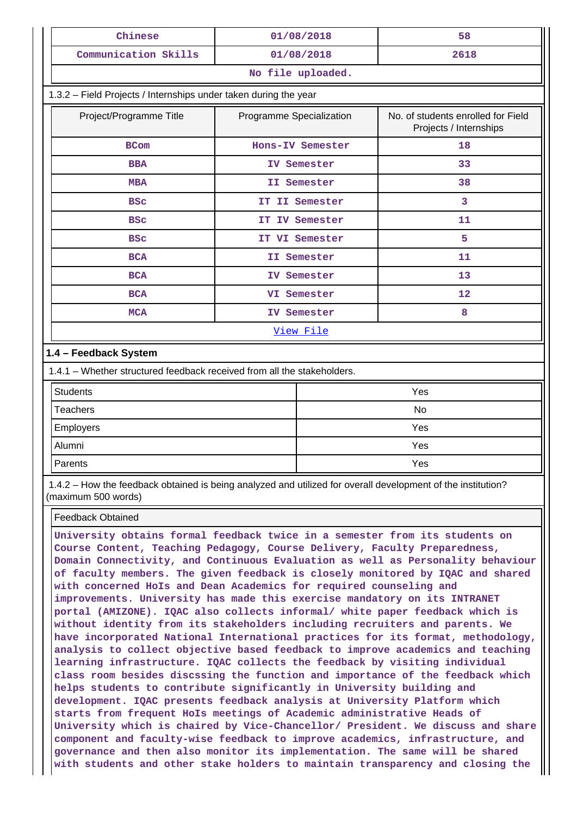| Chinese                                                                                                                             | 01/08/2018                                                                               | 58   |  |  |  |  |
|-------------------------------------------------------------------------------------------------------------------------------------|------------------------------------------------------------------------------------------|------|--|--|--|--|
| Communication Skills                                                                                                                | 01/08/2018                                                                               | 2618 |  |  |  |  |
| No file uploaded.                                                                                                                   |                                                                                          |      |  |  |  |  |
| 1.3.2 - Field Projects / Internships under taken during the year                                                                    |                                                                                          |      |  |  |  |  |
| Project/Programme Title                                                                                                             | No. of students enrolled for Field<br>Programme Specialization<br>Projects / Internships |      |  |  |  |  |
| <b>BCom</b>                                                                                                                         | Hons-IV Semester                                                                         | 18   |  |  |  |  |
| <b>BBA</b>                                                                                                                          | IV Semester                                                                              | 33   |  |  |  |  |
| <b>MBA</b>                                                                                                                          | II Semester                                                                              | 38   |  |  |  |  |
| <b>BSC</b>                                                                                                                          | IT II Semester                                                                           | 3    |  |  |  |  |
| <b>BSC</b>                                                                                                                          | IT IV Semester                                                                           | 11   |  |  |  |  |
| <b>BSC</b>                                                                                                                          | IT VI Semester                                                                           | 5    |  |  |  |  |
| <b>BCA</b>                                                                                                                          | II Semester                                                                              | 11   |  |  |  |  |
| <b>BCA</b>                                                                                                                          | IV Semester                                                                              | 13   |  |  |  |  |
| <b>BCA</b>                                                                                                                          | VI Semester                                                                              | 12   |  |  |  |  |
| <b>MCA</b>                                                                                                                          | IV Semester                                                                              | 8    |  |  |  |  |
|                                                                                                                                     | View File                                                                                |      |  |  |  |  |
| 1.4 - Feedback System                                                                                                               |                                                                                          |      |  |  |  |  |
| 1.4.1 - Whether structured feedback received from all the stakeholders.                                                             |                                                                                          |      |  |  |  |  |
| <b>Students</b>                                                                                                                     |                                                                                          | Yes  |  |  |  |  |
| <b>Teachers</b>                                                                                                                     |                                                                                          | No   |  |  |  |  |
| Employers                                                                                                                           |                                                                                          | Yes  |  |  |  |  |
| Alumni                                                                                                                              |                                                                                          | Yes  |  |  |  |  |
| Parents<br>Yes                                                                                                                      |                                                                                          |      |  |  |  |  |
| 1.4.2 - How the feedback obtained is being analyzed and utilized for overall development of the institution?<br>(maximum 500 words) |                                                                                          |      |  |  |  |  |
| <b>Feedback Obtained</b>                                                                                                            |                                                                                          |      |  |  |  |  |

**University obtains formal feedback twice in a semester from its students on Course Content, Teaching Pedagogy, Course Delivery, Faculty Preparedness, Domain Connectivity, and Continuous Evaluation as well as Personality behaviour of faculty members. The given feedback is closely monitored by IQAC and shared with concerned HoIs and Dean Academics for required counseling and improvements. University has made this exercise mandatory on its INTRANET portal (AMIZONE). IQAC also collects informal/ white paper feedback which is without identity from its stakeholders including recruiters and parents. We have incorporated National International practices for its format, methodology, analysis to collect objective based feedback to improve academics and teaching learning infrastructure. IQAC collects the feedback by visiting individual class room besides discssing the function and importance of the feedback which helps students to contribute significantly in University building and development. IQAC presents feedback analysis at University Platform which starts from frequent HoIs meetings of Academic administrative Heads of University which is chaired by Vice-Chancellor/ President. We discuss and share component and faculty-wise feedback to improve academics, infrastructure, and governance and then also monitor its implementation. The same will be shared with students and other stake holders to maintain transparency and closing the**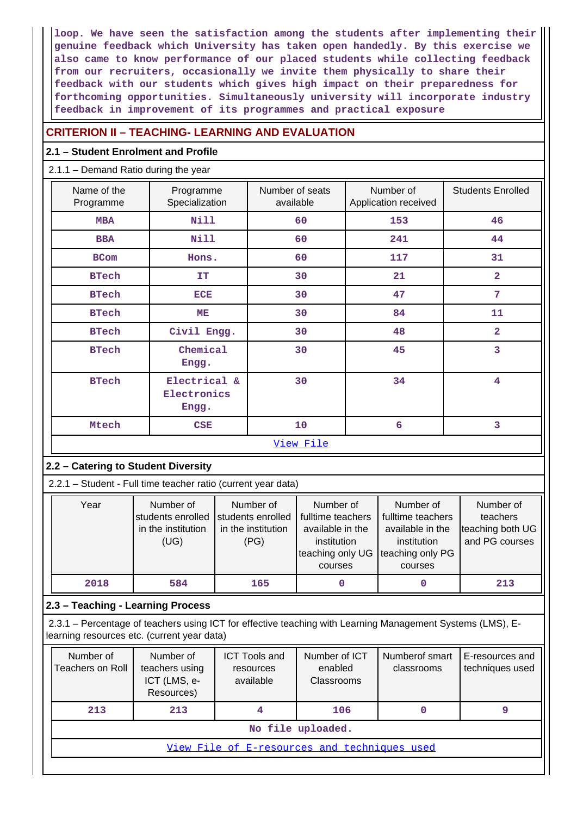**loop. We have seen the satisfaction among the students after implementing their genuine feedback which University has taken open handedly. By this exercise we also came to know performance of our placed students while collecting feedback from our recruiters, occasionally we invite them physically to share their feedback with our students which gives high impact on their preparedness for forthcoming opportunities. Simultaneously university will incorporate industry feedback in improvement of its programmes and practical exposure**

### **CRITERION II – TEACHING- LEARNING AND EVALUATION**

### **2.1 – Student Enrolment and Profile**

2.1.1 – Demand Ratio during the year

| Name of the<br>Programme | Programme<br>Specialization          | Number of seats<br>available | Number of<br>Application received | <b>Students Enrolled</b> |
|--------------------------|--------------------------------------|------------------------------|-----------------------------------|--------------------------|
| <b>MBA</b>               | Nill                                 | 60                           | 153                               | 46                       |
| <b>BBA</b>               | <b>Nill</b>                          | 60                           | 241                               | 44                       |
| <b>BCom</b>              | Hons.                                | 60                           | 117                               | 31                       |
| <b>BTech</b>             | <b>IT</b>                            | 30                           | 21                                | $\overline{\mathbf{2}}$  |
| <b>BTech</b>             | <b>ECE</b>                           | 30                           | 47                                | $\overline{7}$           |
| <b>BTech</b>             | MЕ                                   | 30                           | 84                                | 11                       |
| <b>BTech</b>             | Civil Engg.                          | 30                           | 48                                | $\overline{a}$           |
| <b>BTech</b>             | Chemical<br>Engg.                    | 30                           | 45                                | 3                        |
| <b>BTech</b>             | Electrical &<br>Electronics<br>Engg. | 30                           | 34                                | $\overline{\mathbf{4}}$  |
| Mtech                    | CSE                                  | 10                           | 6                                 | 3                        |
|                          |                                      | View File                    |                                   |                          |

### **2.2 – Catering to Student Diversity**

2.2.1 – Student - Full time teacher ratio (current year data)

| Year | Number of<br>in the institution<br>(UG) | Number of<br>students enrolled students enrolled<br>in the institution<br>(PG) | Number of<br>fulltime teachers<br>available in the<br>institution<br>teaching only UG<br>courses | Number of<br>fulltime teachers<br>available in the<br>institution<br>teaching only PG<br>courses | Number of<br>teachers<br>teaching both UG<br>and PG courses |
|------|-----------------------------------------|--------------------------------------------------------------------------------|--------------------------------------------------------------------------------------------------|--------------------------------------------------------------------------------------------------|-------------------------------------------------------------|
| 2018 | 584                                     | 165                                                                            |                                                                                                  | 0                                                                                                | 213                                                         |

### **2.3 – Teaching - Learning Process**

 2.3.1 – Percentage of teachers using ICT for effective teaching with Learning Management Systems (LMS), Elearning resources etc. (current year data)

| Number of<br>Teachers on Roll | Number of<br>teachers using<br>ICT (LMS, e-<br>Resources) | <b>ICT Tools and</b><br>resources<br>available | Number of ICT<br>enabled<br>Classrooms | Numberof smart<br>classrooms | E-resources and<br>techniques used |
|-------------------------------|-----------------------------------------------------------|------------------------------------------------|----------------------------------------|------------------------------|------------------------------------|
| 213                           | 213                                                       |                                                | 106                                    |                              |                                    |
|                               | No file uploaded.                                         |                                                |                                        |                              |                                    |
|                               | View File of E-resources and techniques used              |                                                |                                        |                              |                                    |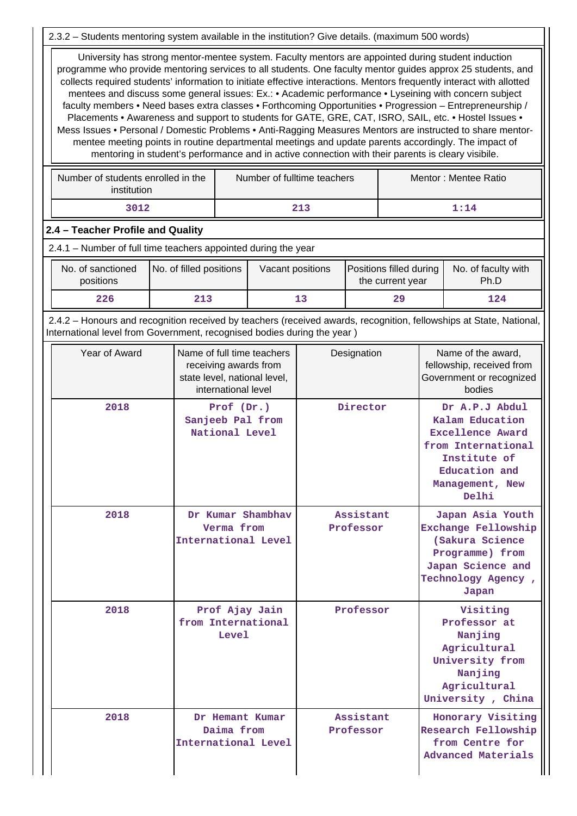2.3.2 – Students mentoring system available in the institution? Give details. (maximum 500 words)

 University has strong mentor-mentee system. Faculty mentors are appointed during student induction programme who provide mentoring services to all students. One faculty mentor guides approx 25 students, and collects required students' information to initiate effective interactions. Mentors frequently interact with allotted mentees and discuss some general issues: Ex.: • Academic performance • Lyseining with concern subject faculty members • Need bases extra classes • Forthcoming Opportunities • Progression – Entrepreneurship / Placements • Awareness and support to students for GATE, GRE, CAT, ISRO, SAIL, etc. • Hostel Issues • Mess Issues • Personal / Domestic Problems • Anti-Ragging Measures Mentors are instructed to share mentormentee meeting points in routine departmental meetings and update parents accordingly. The impact of mentoring in student's performance and in active connection with their parents is cleary visibile.

| Number of students enrolled in the<br>institution | Number of fulltime teachers | Mentor : Mentee Ratio |
|---------------------------------------------------|-----------------------------|-----------------------|
| 3012                                              | 213                         | 1:14                  |

### **2.4 – Teacher Profile and Quality**

2.4.1 – Number of full time teachers appointed during the year

| No. of sanctioned<br>positions | No. of filled positions | Vacant positions | <b>Positions filled during</b><br>the current year | No. of faculty with<br>Ph.D |
|--------------------------------|-------------------------|------------------|----------------------------------------------------|-----------------------------|
| 226                            | 213                     | 13               | 29                                                 | 124                         |

 2.4.2 – Honours and recognition received by teachers (received awards, recognition, fellowships at State, National, International level from Government, recognised bodies during the year )

| Year of Award | Name of full time teachers<br>receiving awards from<br>state level, national level,<br>international level | Designation            | Name of the award,<br>fellowship, received from<br>Government or recognized<br>bodies                                                           |
|---------------|------------------------------------------------------------------------------------------------------------|------------------------|-------------------------------------------------------------------------------------------------------------------------------------------------|
| 2018          | Prof (Dr.)<br>Sanjeeb Pal from<br>National Level                                                           | Director               | Dr A.P.J Abdul<br>Kalam Education<br><b>Excellence Award</b><br>from International<br>Institute of<br>Education and<br>Management, New<br>Delhi |
| 2018          | Dr Kumar Shambhav<br>Verma from<br>International Level                                                     | Assistant<br>Professor | Japan Asia Youth<br>Exchange Fellowship<br>(Sakura Science<br>Programme) from<br>Japan Science and<br>Technology Agency,<br>Japan               |
| 2018          | Prof Ajay Jain<br>from International<br><b>Level</b>                                                       | Professor              | Visiting<br>Professor at<br>Nanjing<br>Agricultural<br>University from<br>Nanjing<br>Agricultural<br>University, China                          |
| 2018          | Dr Hemant Kumar<br>Daima from<br>International Level                                                       | Assistant<br>Professor | Honorary Visiting<br>Research Fellowship<br>from Centre for<br>Advanced Materials                                                               |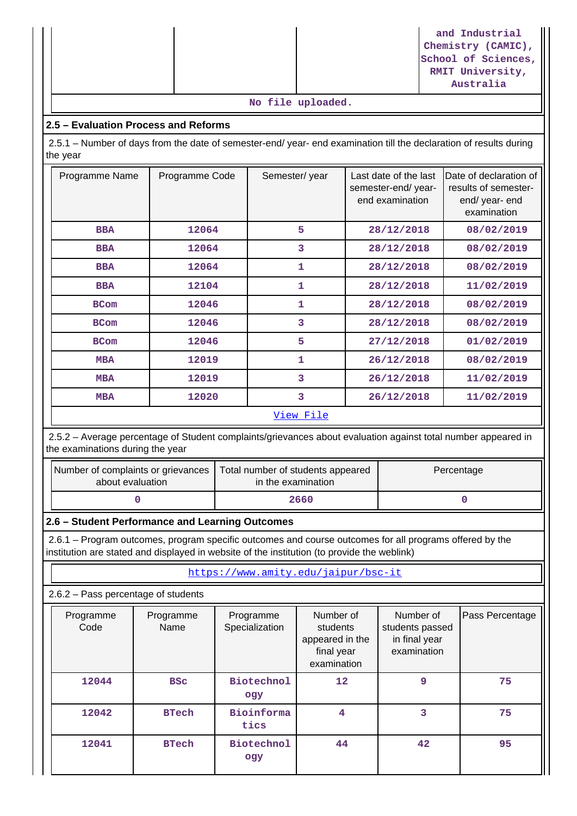|  |  | and Industrial<br>Chemistry (CAMIC),<br>School of Sciences,<br>RMIT University, |
|--|--|---------------------------------------------------------------------------------|
|  |  | Australia                                                                       |

#### **No file uploaded.**

### **2.5 – Evaluation Process and Reforms**

 2.5.1 – Number of days from the date of semester-end/ year- end examination till the declaration of results during the year

| Programme Name | Programme Code | Semester/year | Last date of the last<br>semester-end/ year-<br>end examination | Date of declaration of<br>results of semester-<br>end/ year- end<br>examination |  |
|----------------|----------------|---------------|-----------------------------------------------------------------|---------------------------------------------------------------------------------|--|
| <b>BBA</b>     | 12064          | 5             | 28/12/2018                                                      | 08/02/2019                                                                      |  |
| <b>BBA</b>     | 12064          | 3             | 28/12/2018                                                      | 08/02/2019                                                                      |  |
| <b>BBA</b>     | 12064          | 1             | 28/12/2018                                                      | 08/02/2019                                                                      |  |
| <b>BBA</b>     | 12104          | 1             | 28/12/2018                                                      | 11/02/2019                                                                      |  |
| <b>BCom</b>    | 12046          | 1             | 28/12/2018                                                      | 08/02/2019                                                                      |  |
| <b>BCom</b>    | 12046          | 3             | 28/12/2018                                                      | 08/02/2019                                                                      |  |
| <b>BCom</b>    | 12046          | 5             | 27/12/2018                                                      | 01/02/2019                                                                      |  |
| <b>MBA</b>     | 12019          | 1             | 26/12/2018                                                      | 08/02/2019                                                                      |  |
| <b>MBA</b>     | 12019          | 3             | 26/12/2018                                                      | 11/02/2019                                                                      |  |
| <b>MBA</b>     | 12020          | 3             | 26/12/2018                                                      | 11/02/2019                                                                      |  |
| View File      |                |               |                                                                 |                                                                                 |  |

 2.5.2 – Average percentage of Student complaints/grievances about evaluation against total number appeared in the examinations during the year

| Number of complaints or grievances | Total number of students appeared |  |
|------------------------------------|-----------------------------------|--|
| about evaluation                   | in the examination                |  |
|                                    | 2660                              |  |

#### **2.6 – Student Performance and Learning Outcomes**

 2.6.1 – Program outcomes, program specific outcomes and course outcomes for all programs offered by the institution are stated and displayed in website of the institution (to provide the weblink)

<https://www.amity.edu/jaipur/bsc-it>

2.6.2 – Pass percentage of students

| Programme<br>Code | Programme<br>Name | Programme<br>Specialization | Number of<br>students<br>appeared in the<br>final year<br>examination | Number of<br>students passed<br>in final year<br>examination | Pass Percentage |
|-------------------|-------------------|-----------------------------|-----------------------------------------------------------------------|--------------------------------------------------------------|-----------------|
| 12044             | <b>BSC</b>        | <b>Biotechnol</b><br>ogy    | 12                                                                    | 9                                                            | 75              |
| 12042             | <b>BTech</b>      | Bioinforma<br>tics          | 4                                                                     | 3                                                            | 75              |
| 12041             | <b>BTech</b>      | <b>Biotechnol</b><br>ogy    | 44                                                                    | 42                                                           | 95              |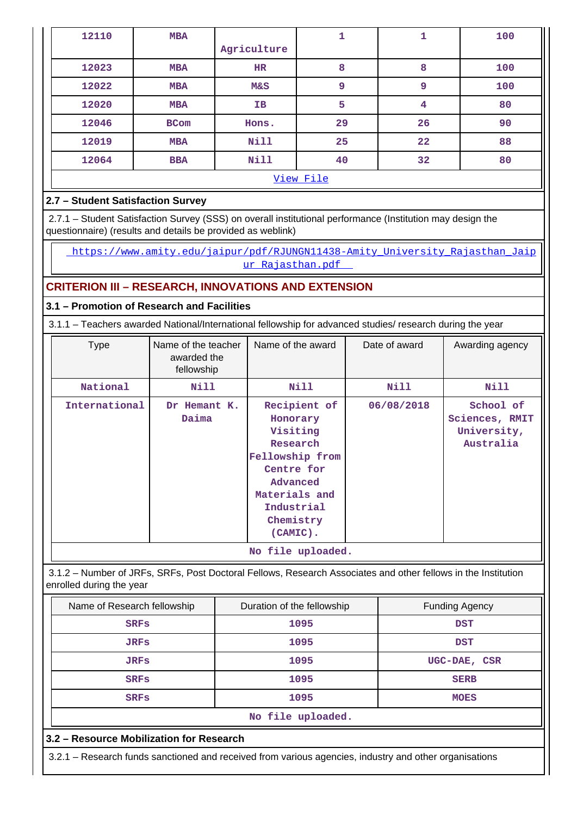| 12110     | <b>MBA</b>  |             | 1  | 1  | 100 |
|-----------|-------------|-------------|----|----|-----|
|           |             | Agriculture |    |    |     |
| 12023     | <b>MBA</b>  | <b>HR</b>   | 8  | 8  | 100 |
| 12022     | <b>MBA</b>  | M&S         | 9  | 9  | 100 |
| 12020     | <b>MBA</b>  | IΒ          | 5  | 4  | 80  |
| 12046     | <b>BCom</b> | Hons.       | 29 | 26 | 90  |
| 12019     | <b>MBA</b>  | Nill        | 25 | 22 | 88  |
| 12064     | <b>BBA</b>  | Nill        | 40 | 32 | 80  |
| View File |             |             |    |    |     |

### **2.7 – Student Satisfaction Survey**

 2.7.1 – Student Satisfaction Survey (SSS) on overall institutional performance (Institution may design the questionnaire) (results and details be provided as weblink)

[https://www.amity.edu/jaipur/pdf/RJUNGN11438-Amity\\_University\\_Rajasthan\\_Jaip](https://www.amity.edu/jaipur/pdf/RJUNGN11438-Amity_University_Rajasthan_Jaipur_Rajasthan.pdf) [ur\\_Rajasthan.pdf](https://www.amity.edu/jaipur/pdf/RJUNGN11438-Amity_University_Rajasthan_Jaipur_Rajasthan.pdf) 

### **CRITERION III – RESEARCH, INNOVATIONS AND EXTENSION**

### **3.1 – Promotion of Research and Facilities**

3.1.1 – Teachers awarded National/International fellowship for advanced studies/ research during the year

| <b>Type</b>   | Name of the teacher<br>awarded the<br>fellowship | Name of the award                                                                                                                                        | Date of award | Awarding agency                                         |
|---------------|--------------------------------------------------|----------------------------------------------------------------------------------------------------------------------------------------------------------|---------------|---------------------------------------------------------|
| National      | Nill                                             | Nill                                                                                                                                                     | Nill          | Nill                                                    |
| International | Dr Hemant K.<br>Daima                            | Recipient of<br>Honorary<br>Visiting<br>Research<br>Fellowship from<br>Centre for<br>Advanced<br>Materials and<br>Industrial<br>Chemistry<br>$(CAMIC)$ . | 06/08/2018    | School of<br>Sciences, RMIT<br>University,<br>Australia |
|               |                                                  | No file uploaded.                                                                                                                                        |               |                                                         |

 3.1.2 – Number of JRFs, SRFs, Post Doctoral Fellows, Research Associates and other fellows in the Institution enrolled during the year

| Name of Research fellowship | Duration of the fellowship |              |  |  |
|-----------------------------|----------------------------|--------------|--|--|
| <b>SRFs</b>                 | 1095                       | <b>DST</b>   |  |  |
| <b>JRFs</b>                 | 1095                       | <b>DST</b>   |  |  |
| <b>JRFs</b>                 | 1095                       | UGC-DAE, CSR |  |  |
| <b>SRFs</b>                 | 1095                       | <b>SERB</b>  |  |  |
| <b>SRFs</b>                 | 1095                       | <b>MOES</b>  |  |  |
| No file uploaded.           |                            |              |  |  |

**3.2 – Resource Mobilization for Research**

3.2.1 – Research funds sanctioned and received from various agencies, industry and other organisations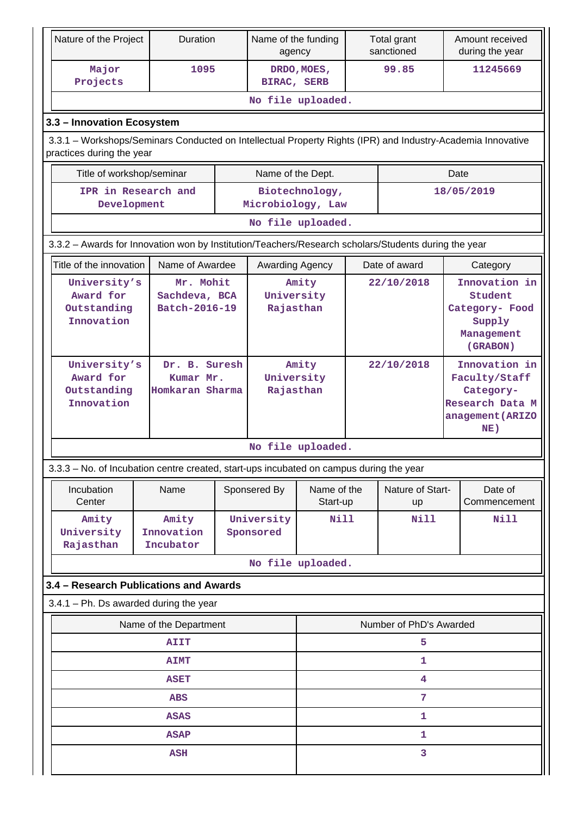| Nature of the Project                                                                                       | Duration                                      |  | Name of the funding<br>agency    |                         |            | Total grant<br>sanctioned |                                                                                           | Amount received<br>during the year                                             |
|-------------------------------------------------------------------------------------------------------------|-----------------------------------------------|--|----------------------------------|-------------------------|------------|---------------------------|-------------------------------------------------------------------------------------------|--------------------------------------------------------------------------------|
| Major<br>Projects                                                                                           | 1095                                          |  | BIRAC, SERB                      | DRDO, MOES,             |            | 99.85                     |                                                                                           | 11245669                                                                       |
|                                                                                                             |                                               |  | No file uploaded.                |                         |            |                           |                                                                                           |                                                                                |
| 3.3 - Innovation Ecosystem                                                                                  |                                               |  |                                  |                         |            |                           |                                                                                           |                                                                                |
| 3.3.1 - Workshops/Seminars Conducted on Intellectual Property Rights (IPR) and Industry-Academia Innovative |                                               |  |                                  |                         |            |                           |                                                                                           |                                                                                |
| practices during the year                                                                                   |                                               |  |                                  |                         |            |                           |                                                                                           |                                                                                |
| Title of workshop/seminar                                                                                   |                                               |  | Name of the Dept.                |                         |            |                           | Date                                                                                      |                                                                                |
| IPR in Research and<br>Development                                                                          |                                               |  | Microbiology, Law                | Biotechnology,          |            |                           |                                                                                           | 18/05/2019                                                                     |
| No file uploaded.                                                                                           |                                               |  |                                  |                         |            |                           |                                                                                           |                                                                                |
| 3.3.2 - Awards for Innovation won by Institution/Teachers/Research scholars/Students during the year        |                                               |  |                                  |                         |            |                           |                                                                                           |                                                                                |
| Title of the innovation                                                                                     | Name of Awardee                               |  | Awarding Agency                  |                         |            | Date of award             |                                                                                           | Category                                                                       |
| University's<br>Award for<br>Outstanding<br>Innovation                                                      | Mr. Mohit<br>Sachdeva, BCA<br>Batch-2016-19   |  | University<br>Rajasthan          | Amity                   |            | 22/10/2018                |                                                                                           | Innovation in<br>Student<br>Category- Food<br>Supply<br>Management<br>(GRABON) |
| University's<br>Award for<br>Outstanding<br>Innovation                                                      | Dr. B. Suresh<br>Kumar Mr.<br>Homkaran Sharma |  | Amity<br>University<br>Rajasthan |                         | 22/10/2018 |                           | Innovation in<br>Faculty/Staff<br>Category-<br>Research Data M<br>anagement (ARIZO<br>NE) |                                                                                |
|                                                                                                             |                                               |  | No file uploaded.                |                         |            |                           |                                                                                           |                                                                                |
| 3.3.3 - No. of Incubation centre created, start-ups incubated on campus during the year                     |                                               |  |                                  |                         |            |                           |                                                                                           |                                                                                |
| Incubation<br>Center                                                                                        | Name                                          |  | Sponsered By                     | Name of the<br>Start-up |            | Nature of Start-<br>up    |                                                                                           | Date of<br>Commencement                                                        |
| Amity<br>University<br>Rajasthan                                                                            | Amity<br>Innovation<br>Incubator              |  | University<br>Sponsored          | Nill                    |            | <b>Nill</b>               |                                                                                           | Nill                                                                           |
|                                                                                                             |                                               |  | No file uploaded.                |                         |            |                           |                                                                                           |                                                                                |
| 3.4 - Research Publications and Awards                                                                      |                                               |  |                                  |                         |            |                           |                                                                                           |                                                                                |
| $3.4.1$ – Ph. Ds awarded during the year                                                                    |                                               |  |                                  |                         |            |                           |                                                                                           |                                                                                |
|                                                                                                             | Name of the Department                        |  |                                  |                         |            | Number of PhD's Awarded   |                                                                                           |                                                                                |
|                                                                                                             | <b>AIIT</b>                                   |  |                                  |                         |            | 5                         |                                                                                           |                                                                                |
|                                                                                                             | <b>AIMT</b>                                   |  |                                  |                         |            | 1                         |                                                                                           |                                                                                |
| 4<br><b>ASET</b>                                                                                            |                                               |  |                                  |                         |            |                           |                                                                                           |                                                                                |
|                                                                                                             | <b>ABS</b>                                    |  |                                  |                         |            | 7                         |                                                                                           |                                                                                |
|                                                                                                             | <b>ASAS</b>                                   |  |                                  |                         |            | 1                         |                                                                                           |                                                                                |
|                                                                                                             | <b>ASAP</b>                                   |  |                                  |                         |            | 1                         |                                                                                           |                                                                                |
|                                                                                                             | <b>ASH</b>                                    |  |                                  |                         |            | 3                         |                                                                                           |                                                                                |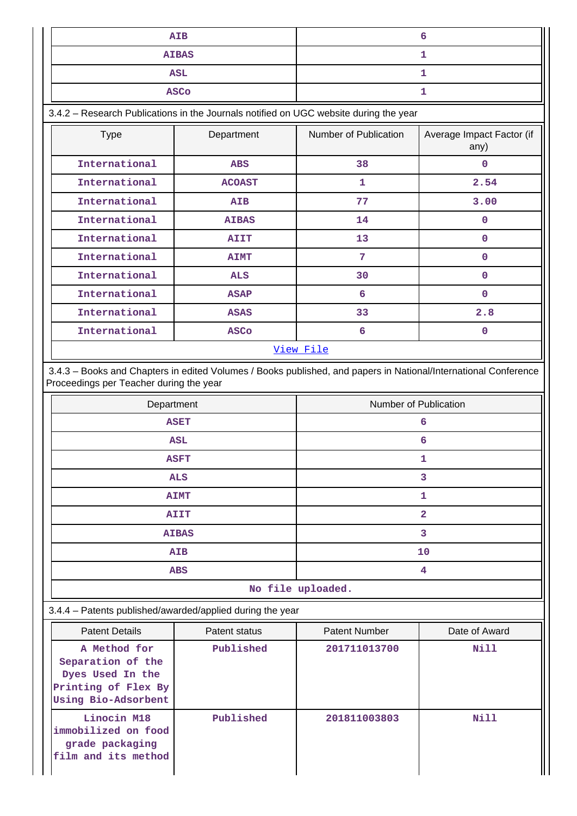| AIB          |  |
|--------------|--|
| <b>AIBAS</b> |  |
| ASL          |  |
| <b>ASCo</b>  |  |

3.4.2 – Research Publications in the Journals notified on UGC website during the year

| <b>Type</b>   | Department    | Number of Publication | Average Impact Factor (if<br>any) |
|---------------|---------------|-----------------------|-----------------------------------|
| International | <b>ABS</b>    | 38                    | 0                                 |
| International | <b>ACOAST</b> | 1                     | 2.54                              |
| International | AIB           | 77                    | 3.00                              |
| International | <b>AIBAS</b>  | 14                    | $\mathbf 0$                       |
| International | <b>AIIT</b>   | 13                    | $\mathbf 0$                       |
| International | <b>AIMT</b>   | 7                     | 0                                 |
| International | <b>ALS</b>    | 30                    | 0                                 |
| International | <b>ASAP</b>   | 6                     | 0                                 |
| International | <b>ASAS</b>   | 33                    | 2.8                               |
| International | <b>ASCo</b>   | 6                     | 0                                 |
|               |               | View File             |                                   |

 3.4.3 – Books and Chapters in edited Volumes / Books published, and papers in National/International Conference Proceedings per Teacher during the year

| Department                                | Number of Publication |
|-------------------------------------------|-----------------------|
| <b>ASET</b>                               | 6                     |
| <b>ASL</b>                                | 6                     |
| <b>ASFT</b>                               | 1                     |
| <b>ALS</b>                                | 3                     |
| <b>AIMT</b>                               | 1                     |
| <b>AIIT</b>                               | $\overline{2}$        |
| <b>AIBAS</b>                              | 3                     |
| <b>AIB</b>                                | 10                    |
| <b>ABS</b>                                | 4                     |
| $\sim$ $\sim$ $\sim$ $\sim$ $\sim$ $\sim$ |                       |

**No file uploaded.**

#### 3.4.4 – Patents published/awarded/applied during the year

| <b>Patent Details</b>                                                                               | Patent status | <b>Patent Number</b> | Date of Award |
|-----------------------------------------------------------------------------------------------------|---------------|----------------------|---------------|
| A Method for<br>Separation of the<br>Dyes Used In the<br>Printing of Flex By<br>Using Bio-Adsorbent | Published     | 201711013700         | Nill          |
| Linocin M18<br>immobilized on food<br>grade packaging<br>film and its method                        | Published     | 201811003803         | Nill          |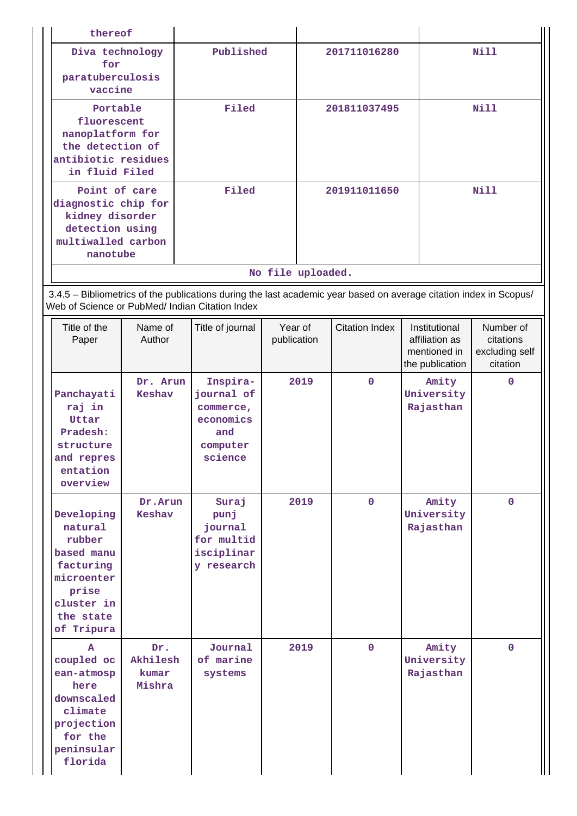| thereof                                                                                                                     |                                    |                                                                                                                                                                       |                        |                   |                       |                                                                    |                                                      |
|-----------------------------------------------------------------------------------------------------------------------------|------------------------------------|-----------------------------------------------------------------------------------------------------------------------------------------------------------------------|------------------------|-------------------|-----------------------|--------------------------------------------------------------------|------------------------------------------------------|
| Diva technology<br>for<br>paratuberculosis<br>vaccine                                                                       |                                    | Published                                                                                                                                                             |                        |                   | 201711016280          |                                                                    | <b>Nill</b>                                          |
| Portable<br>fluorescent<br>nanoplatform for<br>the detection of<br>antibiotic residues<br>in fluid Filed                    |                                    | Filed                                                                                                                                                                 |                        |                   | 201811037495          |                                                                    | <b>Nill</b>                                          |
| Point of care<br>diagnostic chip for<br>kidney disorder<br>detection using<br>multiwalled carbon<br>nanotube                |                                    | Filed                                                                                                                                                                 |                        |                   | 201911011650          |                                                                    | <b>Nill</b>                                          |
|                                                                                                                             |                                    |                                                                                                                                                                       |                        | No file uploaded. |                       |                                                                    |                                                      |
|                                                                                                                             |                                    | 3.4.5 - Bibliometrics of the publications during the last academic year based on average citation index in Scopus/<br>Web of Science or PubMed/ Indian Citation Index |                        |                   |                       |                                                                    |                                                      |
| Title of the<br>Paper                                                                                                       | Name of<br>Author                  | Title of journal                                                                                                                                                      | Year of<br>publication |                   | <b>Citation Index</b> | Institutional<br>affiliation as<br>mentioned in<br>the publication | Number of<br>citations<br>excluding self<br>citation |
| Panchayati<br>raj in<br>Uttar<br>Pradesh:<br>structure<br>and repres<br>entation<br>overview                                | Dr. Arun<br><b>Keshav</b>          | Inspira-<br>journal of<br>commerce,<br>economics<br>and<br>computer<br>science                                                                                        |                        | 2019              | $\mathbf{O}$          | Amity<br>University<br>Rajasthan                                   | 0                                                    |
| Developing<br>natural<br>rubber<br>based manu<br>facturing<br>microenter<br>prise<br>cluster in<br>the state<br>of Tripura  | Dr.Arun<br>Keshav                  | Suraj<br>punj<br>journal<br>for multid<br>isciplinar<br>y research                                                                                                    |                        | 2019              | $\Omega$              | Amity<br>University<br>Rajasthan                                   | $\Omega$                                             |
| $\mathbf{A}$<br>coupled oc<br>ean-atmosp<br>here<br>downscaled<br>climate<br>projection<br>for the<br>peninsular<br>florida | Dr.<br>Akhilesh<br>kumar<br>Mishra | Journal<br>of marine<br>systems                                                                                                                                       |                        | 2019              | $\mathbf{0}$          | Amity<br>University<br>Rajasthan                                   | $\mathbf{0}$                                         |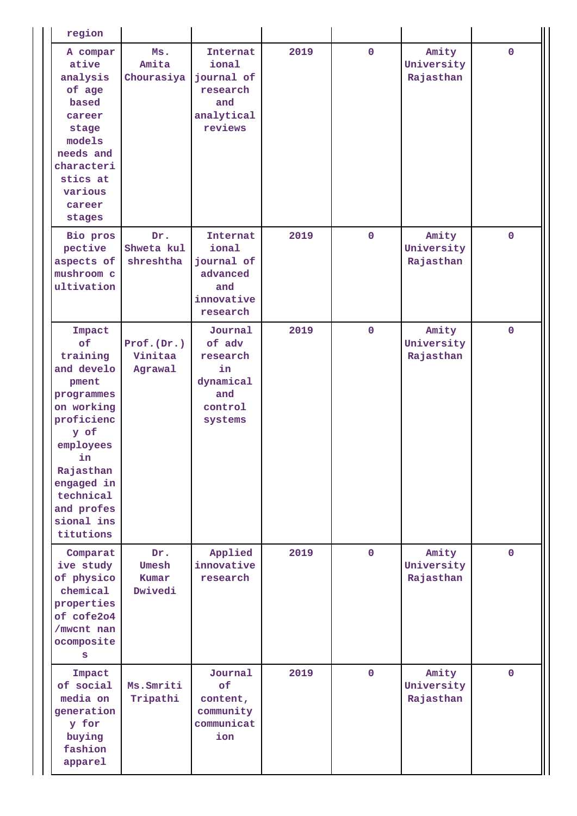| region                                                                                                                                                                                                 |                                  |                                                                               |      |             |                                  |              |
|--------------------------------------------------------------------------------------------------------------------------------------------------------------------------------------------------------|----------------------------------|-------------------------------------------------------------------------------|------|-------------|----------------------------------|--------------|
| A compar<br>ative<br>analysis<br>of age<br>based<br>career<br>stage<br>models<br>needs and<br>characteri<br>stics at<br>various<br>career<br>stages                                                    | Ms.<br>Amita<br>Chourasiya       | Internat<br>ional<br>journal of<br>research<br>and<br>analytical<br>reviews   | 2019 | $\mathbf 0$ | Amity<br>University<br>Rajasthan | $\mathbf{0}$ |
| Bio pros<br>pective<br>aspects of<br>mushroom c<br>ultivation                                                                                                                                          | Dr.<br>Shweta kul<br>shreshtha   | Internat<br>ional<br>journal of<br>advanced<br>and<br>innovative<br>research  | 2019 | $\mathbf 0$ | Amity<br>University<br>Rajasthan | $\Omega$     |
| Impact<br>of<br>training<br>and develo<br>pment<br>programmes<br>on working<br>proficienc<br>y of<br>employees<br>in.<br>Rajasthan<br>engaged in<br>technical<br>and profes<br>sional ins<br>titutions | Prot.(Dr.)<br>Vinitaa<br>Agrawal | Journal<br>of adv<br>research<br>in<br>dynamical<br>and<br>control<br>systems | 2019 | $\mathbf 0$ | Amity<br>University<br>Rajasthan | $\mathbf{0}$ |
| Comparat<br>ive study<br>of physico<br>chemical<br>properties<br>of cofe2o4<br>/mwcnt nan<br>ocomposite<br>S                                                                                           | Dr.<br>Umesh<br>Kumar<br>Dwivedi | Applied<br>innovative<br>research                                             | 2019 | $\mathbf 0$ | Amity<br>University<br>Rajasthan | $\mathbf{0}$ |
| Impact<br>of social<br>media on<br>generation<br>y for<br>buying<br>fashion<br>apparel                                                                                                                 | Ms. Smriti<br>Tripathi           | Journal<br>of<br>content,<br>community<br>communicat<br>ion                   | 2019 | $\mathbf 0$ | Amity<br>University<br>Rajasthan | $\mathbf{0}$ |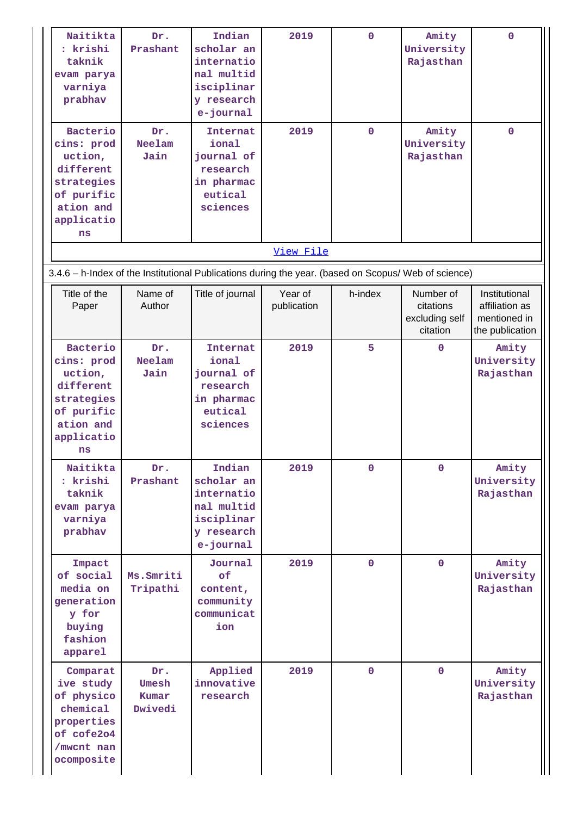| Naitikta<br>: krishi<br>taknik<br>evam parya<br>varniya<br>prabhav                                                 | Dr.<br>Prashant                  | Indian<br>scholar an<br>internatio<br>nal multid<br>isciplinar<br>y research<br>e-journal | 2019                   | $\mathbf 0$ | Amity<br>University<br>Rajasthan                     | $\mathbf 0$                                                        |
|--------------------------------------------------------------------------------------------------------------------|----------------------------------|-------------------------------------------------------------------------------------------|------------------------|-------------|------------------------------------------------------|--------------------------------------------------------------------|
| Bacterio<br>cins: prod<br>uction,<br>different<br>strategies<br>of purific<br>ation and<br>applicatio<br>ns        | Dr.<br><b>Neelam</b><br>Jain     | <b>Internat</b><br>ional<br>journal of<br>research<br>in pharmac<br>eutical<br>sciences   | 2019                   | $\mathbf 0$ | Amity<br>University<br>Rajasthan                     | $\mathbf 0$                                                        |
|                                                                                                                    |                                  |                                                                                           | View File              |             |                                                      |                                                                    |
| 3.4.6 - h-Index of the Institutional Publications during the year. (based on Scopus/ Web of science)               |                                  |                                                                                           |                        |             |                                                      |                                                                    |
| Title of the<br>Paper                                                                                              | Name of<br>Author                | Title of journal                                                                          | Year of<br>publication | h-index     | Number of<br>citations<br>excluding self<br>citation | Institutional<br>affiliation as<br>mentioned in<br>the publication |
| <b>Bacterio</b><br>cins: prod<br>uction,<br>different<br>strategies<br>of purific<br>ation and<br>applicatio<br>ns | Dr.<br><b>Neelam</b><br>Jain     | <b>Internat</b><br>ional<br>journal of<br>research<br>in pharmac<br>eutical<br>sciences   | 2019                   | 5           | $\Omega$                                             | Amity<br>University<br>Rajasthan                                   |
| Naitikta<br>: krishi<br>taknik<br>evam parya<br>varniya<br>prabhav                                                 | Dr.<br>Prashant                  | Indian<br>scholar an<br>internatio<br>nal multid<br>isciplinar<br>y research<br>e-journal | 2019                   | $\mathbf 0$ | $\mathbf 0$                                          | Amity<br>University<br>Rajasthan                                   |
| Impact<br>of social<br>media on<br>generation<br>y for<br>buying<br>fashion<br>apparel                             | Ms. Smriti<br>Tripathi           | Journal<br>of<br>content,<br>community<br>communicat<br>ion                               | 2019                   | $\mathbf 0$ | $\mathbf{0}$                                         | Amity<br>University<br>Rajasthan                                   |
| Comparat<br>ive study<br>of physico<br>chemical<br>properties<br>of cofe2o4<br>/mwcnt nan<br>ocomposite            | Dr.<br>Umesh<br>Kumar<br>Dwivedi | Applied<br>innovative<br>research                                                         | 2019                   | $\mathbf 0$ | $\mathbf{0}$                                         | Amity<br>University<br>Rajasthan                                   |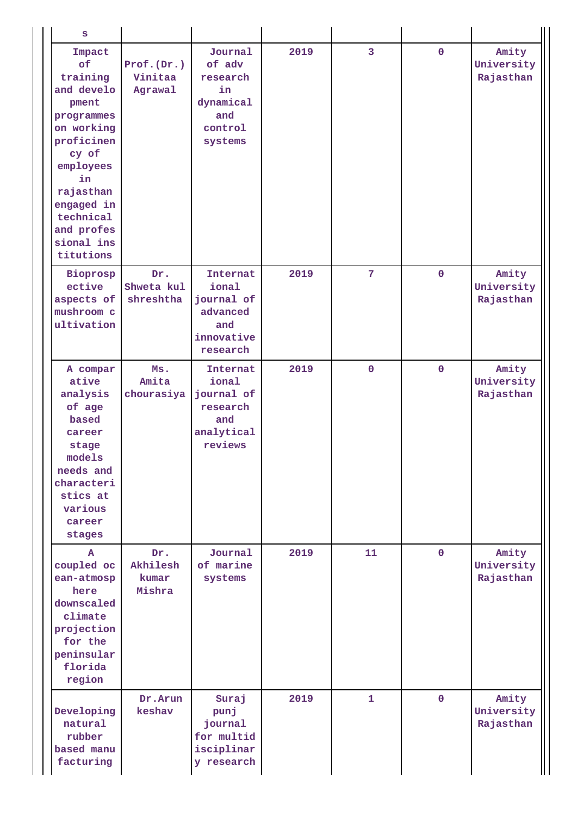| S                                                                                                                                                                                                      |                                    |                                                                               |      |                |              |                                  |
|--------------------------------------------------------------------------------------------------------------------------------------------------------------------------------------------------------|------------------------------------|-------------------------------------------------------------------------------|------|----------------|--------------|----------------------------------|
| Impact<br>of<br>training<br>and develo<br>pment<br>programmes<br>on working<br>proficinen<br>cy of<br>employees<br>in<br>rajasthan<br>engaged in<br>technical<br>and profes<br>sional ins<br>titutions | Prot.(Dr.)<br>Vinitaa<br>Agrawal   | Journal<br>of adv<br>research<br>in<br>dynamical<br>and<br>control<br>systems | 2019 | 3              | $\mathbf{0}$ | Amity<br>University<br>Rajasthan |
| Bioprosp<br>ective<br>aspects of<br>mushroom c<br>ultivation                                                                                                                                           | Dr.<br>Shweta kul<br>shreshtha     | Internat<br>ional<br>journal of<br>advanced<br>and<br>innovative<br>research  | 2019 | $7\phantom{.}$ | $\mathbf 0$  | Amity<br>University<br>Rajasthan |
| A compar<br>ative<br>analysis<br>of age<br>based<br>career<br>stage<br>models<br>needs and<br>characteri<br>stics at<br>various<br>career<br>stages                                                    | Ms.<br>Amita<br>chourasiya         | Internat<br>ional<br>journal of<br>research<br>and<br>analytical<br>reviews   | 2019 | $\mathbf 0$    | $\mathbf 0$  | Amity<br>University<br>Rajasthan |
| A<br>coupled oc<br>ean-atmosp<br>here<br>downscaled<br>climate<br>projection<br>for the<br>peninsular<br>florida<br>region                                                                             | Dr.<br>Akhilesh<br>kumar<br>Mishra | Journal<br>of marine<br>systems                                               | 2019 | 11             | $\mathbf 0$  | Amity<br>University<br>Rajasthan |
| Developing<br>natural<br>rubber<br>based manu<br>facturing                                                                                                                                             | Dr.Arun<br>keshav                  | Suraj<br>punj<br>journal<br>for multid<br>isciplinar<br>y research            | 2019 | $\mathbf{1}$   | $\mathbf 0$  | Amity<br>University<br>Rajasthan |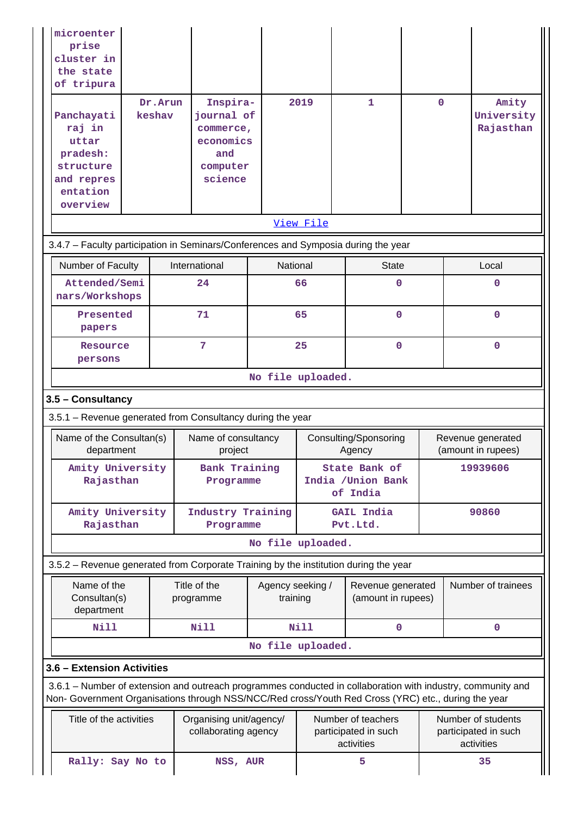| microenter<br>prise<br>cluster in<br>the state<br>of tripura                                 | Dr. Arun | Inspira-                                                                                                                                                                                                           |                              | 2019        | 1                                                        | $\mathbf{O}$ | Amity                                                    |
|----------------------------------------------------------------------------------------------|----------|--------------------------------------------------------------------------------------------------------------------------------------------------------------------------------------------------------------------|------------------------------|-------------|----------------------------------------------------------|--------------|----------------------------------------------------------|
| Panchayati<br>raj in<br>uttar<br>pradesh:<br>structure<br>and repres<br>entation<br>overview | keshav   | journal of<br>commerce,<br>economics<br>and<br>computer<br>science                                                                                                                                                 |                              |             |                                                          |              | University<br>Rajasthan                                  |
|                                                                                              |          |                                                                                                                                                                                                                    |                              | View File   |                                                          |              |                                                          |
|                                                                                              |          | 3.4.7 - Faculty participation in Seminars/Conferences and Symposia during the year                                                                                                                                 |                              |             |                                                          |              |                                                          |
| Number of Faculty                                                                            |          | International                                                                                                                                                                                                      | National                     |             | <b>State</b>                                             |              | Local                                                    |
| Attended/Semi<br>nars/Workshops                                                              |          | 24                                                                                                                                                                                                                 |                              | 66          | 0                                                        |              | $\mathbf 0$                                              |
| Presented<br>papers                                                                          |          | 71                                                                                                                                                                                                                 |                              | 65          | $\mathbf 0$                                              |              | $\mathbf 0$                                              |
| Resource<br>persons                                                                          |          | 7                                                                                                                                                                                                                  |                              | 25          | $\mathbf 0$                                              |              | $\mathbf 0$                                              |
|                                                                                              |          |                                                                                                                                                                                                                    | No file uploaded.            |             |                                                          |              |                                                          |
| 3.5 - Consultancy                                                                            |          |                                                                                                                                                                                                                    |                              |             |                                                          |              |                                                          |
|                                                                                              |          | 3.5.1 - Revenue generated from Consultancy during the year                                                                                                                                                         |                              |             |                                                          |              |                                                          |
| Name of the Consultan(s)<br>department                                                       |          | Name of consultancy<br>project                                                                                                                                                                                     |                              |             | Consulting/Sponsoring<br>Agency                          |              | Revenue generated<br>(amount in rupees)                  |
| Amity University<br>Rajasthan                                                                |          | <b>Bank Training</b><br>Programme                                                                                                                                                                                  |                              |             | State Bank of<br>India / Union Bank<br>of India          |              | 19939606                                                 |
| Amity University<br>Rajasthan                                                                |          | Industry Training<br>Programme                                                                                                                                                                                     |                              |             | <b>GAIL India</b><br>Pvt.Ltd.                            |              | 90860                                                    |
|                                                                                              |          |                                                                                                                                                                                                                    | No file uploaded.            |             |                                                          |              |                                                          |
|                                                                                              |          | 3.5.2 - Revenue generated from Corporate Training by the institution during the year                                                                                                                               |                              |             |                                                          |              |                                                          |
| Name of the<br>Consultan(s)<br>department                                                    |          | Title of the<br>programme                                                                                                                                                                                          | Agency seeking /<br>training |             | Revenue generated<br>(amount in rupees)                  |              | Number of trainees                                       |
| <b>Nill</b>                                                                                  |          | <b>Nill</b>                                                                                                                                                                                                        |                              | <b>Nill</b> | $\mathbf 0$                                              |              | $\mathbf 0$                                              |
|                                                                                              |          |                                                                                                                                                                                                                    | No file uploaded.            |             |                                                          |              |                                                          |
| 3.6 - Extension Activities                                                                   |          |                                                                                                                                                                                                                    |                              |             |                                                          |              |                                                          |
|                                                                                              |          | 3.6.1 – Number of extension and outreach programmes conducted in collaboration with industry, community and<br>Non- Government Organisations through NSS/NCC/Red cross/Youth Red Cross (YRC) etc., during the year |                              |             |                                                          |              |                                                          |
| Title of the activities                                                                      |          | Organising unit/agency/<br>collaborating agency                                                                                                                                                                    |                              |             | Number of teachers<br>participated in such<br>activities |              | Number of students<br>participated in such<br>activities |
| Rally: Say No to                                                                             |          | NSS, AUR                                                                                                                                                                                                           |                              |             | 5                                                        |              | 35                                                       |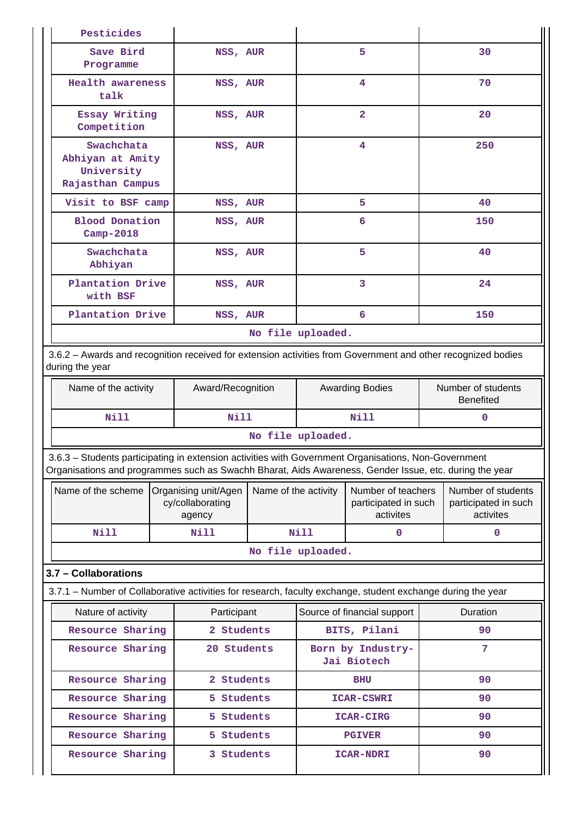| Pesticides                                                                                                                                                                                                     |                                                    |              |                      |                                                         |              |                                                         |
|----------------------------------------------------------------------------------------------------------------------------------------------------------------------------------------------------------------|----------------------------------------------------|--------------|----------------------|---------------------------------------------------------|--------------|---------------------------------------------------------|
| Save Bird<br>Programme                                                                                                                                                                                         | NSS, AUR                                           |              |                      | 5                                                       |              | 30                                                      |
| <b>Health awareness</b><br>talk                                                                                                                                                                                | NSS, AUR                                           |              |                      | 4                                                       |              | 70                                                      |
| Essay Writing<br>Competition                                                                                                                                                                                   | NSS, AUR                                           |              |                      | $\overline{a}$                                          |              | 20                                                      |
| Swachchata<br>Abhiyan at Amity<br>University<br>Rajasthan Campus                                                                                                                                               | NSS, AUR                                           |              |                      | $\overline{4}$                                          |              | 250                                                     |
| Visit to BSF camp                                                                                                                                                                                              | NSS, AUR                                           |              |                      | 5                                                       |              | 40                                                      |
| <b>Blood Donation</b><br>Camp-2018                                                                                                                                                                             | NSS, AUR                                           |              |                      | 6                                                       |              | 150                                                     |
| Swachchata<br>Abhiyan                                                                                                                                                                                          | NSS, AUR                                           |              |                      | 5                                                       |              | 40                                                      |
| Plantation Drive<br>with BSF                                                                                                                                                                                   | NSS, AUR                                           |              |                      | 3                                                       |              | 24                                                      |
| Plantation Drive                                                                                                                                                                                               | NSS, AUR                                           |              |                      | 6                                                       |              | 150                                                     |
|                                                                                                                                                                                                                |                                                    |              | No file uploaded.    |                                                         |              |                                                         |
| 3.6.2 - Awards and recognition received for extension activities from Government and other recognized bodies<br>during the year                                                                                |                                                    |              |                      |                                                         |              |                                                         |
| Name of the activity                                                                                                                                                                                           | Award/Recognition                                  |              |                      | <b>Awarding Bodies</b>                                  |              | Number of students<br><b>Benefited</b>                  |
| Nill                                                                                                                                                                                                           |                                                    | Nill<br>Nill |                      |                                                         | $\mathbf{0}$ |                                                         |
|                                                                                                                                                                                                                |                                                    |              | No file uploaded.    |                                                         |              |                                                         |
| 3.6.3 - Students participating in extension activities with Government Organisations, Non-Government<br>Organisations and programmes such as Swachh Bharat, Aids Awareness, Gender Issue, etc. during the year |                                                    |              |                      |                                                         |              |                                                         |
| Name of the scheme                                                                                                                                                                                             | Organising unit/Agen<br>cy/collaborating<br>agency |              | Name of the activity | Number of teachers<br>participated in such<br>activites |              | Number of students<br>participated in such<br>activites |
| <b>Nill</b>                                                                                                                                                                                                    | Nill                                               |              | <b>Nill</b>          | 0                                                       |              | $\mathbf 0$                                             |
|                                                                                                                                                                                                                |                                                    |              | No file uploaded.    |                                                         |              |                                                         |
| 3.7 - Collaborations                                                                                                                                                                                           |                                                    |              |                      |                                                         |              |                                                         |
| 3.7.1 – Number of Collaborative activities for research, faculty exchange, student exchange during the year                                                                                                    |                                                    |              |                      |                                                         |              |                                                         |
| Nature of activity                                                                                                                                                                                             | Participant                                        |              |                      | Source of financial support                             |              | Duration                                                |
| Resource Sharing                                                                                                                                                                                               | 2 Students                                         |              |                      | BITS, Pilani                                            |              | 90                                                      |
| Resource Sharing                                                                                                                                                                                               | 20 Students                                        |              |                      | Born by Industry-<br>Jai Biotech                        |              | 7                                                       |
| Resource Sharing                                                                                                                                                                                               | 2 Students                                         |              |                      | BHU                                                     |              | 90                                                      |
| Resource Sharing                                                                                                                                                                                               | 5 Students                                         |              |                      | <b>ICAR-CSWRI</b>                                       |              | 90                                                      |
| Resource Sharing                                                                                                                                                                                               | 5 Students                                         |              |                      | <b>ICAR-CIRG</b>                                        |              | 90                                                      |
| Resource Sharing                                                                                                                                                                                               | 5 Students                                         |              |                      | <b>PGIVER</b>                                           |              | 90                                                      |
| Resource Sharing                                                                                                                                                                                               | 3 Students                                         |              |                      | <b>ICAR-NDRI</b>                                        |              | 90                                                      |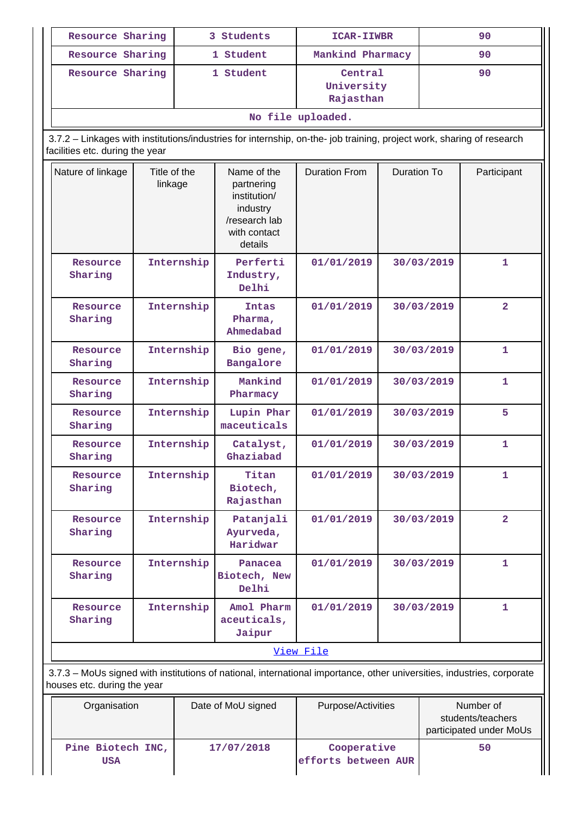| Resource Sharing                             |            | 3 Students                                                                                                             | ICAR-IIWBR                         |                                                      | 90         |                                                           |
|----------------------------------------------|------------|------------------------------------------------------------------------------------------------------------------------|------------------------------------|------------------------------------------------------|------------|-----------------------------------------------------------|
| Resource Sharing                             |            | 1 Student                                                                                                              | Mankind Pharmacy                   |                                                      |            | 90                                                        |
| Resource Sharing                             |            | 1 Student                                                                                                              | Central<br>University<br>Rajasthan |                                                      | 90         |                                                           |
|                                              |            |                                                                                                                        | No file uploaded.                  |                                                      |            |                                                           |
| facilities etc. during the year              |            | 3.7.2 - Linkages with institutions/industries for internship, on-the- job training, project work, sharing of research  |                                    |                                                      |            |                                                           |
| Nature of linkage<br>Title of the<br>linkage |            | Name of the<br>partnering<br>institution/<br>industry<br>/research lab<br>with contact<br>details                      | <b>Duration From</b>               | <b>Duration To</b>                                   |            | Participant                                               |
| Resource<br>Sharing                          | Internship | Perferti<br>Industry,<br>Delhi                                                                                         | 01/01/2019                         |                                                      | 30/03/2019 | 1                                                         |
| Resource<br>Sharing                          | Internship | <b>Intas</b><br>Pharma,<br>Ahmedabad                                                                                   | 01/01/2019                         | 30/03/2019<br>30/03/2019<br>30/03/2019<br>30/03/2019 |            | $\overline{2}$                                            |
| Resource<br>Sharing                          | Internship | Bio gene,<br>Bangalore                                                                                                 | 01/01/2019                         |                                                      |            | $\mathbf{1}$                                              |
| Resource<br>Sharing                          | Internship | Mankind<br>Pharmacy                                                                                                    | 01/01/2019                         |                                                      |            | 1                                                         |
| Resource<br>Sharing                          | Internship | Lupin Phar<br>maceuticals                                                                                              | 01/01/2019                         |                                                      |            | 5                                                         |
| Resource<br>Sharing                          | Internship | Catalyst,<br>Ghaziabad                                                                                                 | 01/01/2019                         |                                                      | 30/03/2019 | 1                                                         |
| Resource<br>Sharing                          | Internship | Titan<br>Biotech,<br>Rajasthan                                                                                         | 01/01/2019                         |                                                      | 30/03/2019 | $\mathbf{1}$                                              |
| Resource<br>Sharing                          | Internship | Patanjali<br>Ayurveda,<br>Haridwar                                                                                     | 01/01/2019                         |                                                      | 30/03/2019 | $\overline{2}$                                            |
| Resource<br>Sharing                          | Internship | Panacea<br>Biotech, New<br>Delhi                                                                                       | 01/01/2019                         |                                                      | 30/03/2019 | $\mathbf{1}$                                              |
| Internship<br>Resource<br>Sharing            |            | Amol Pharm<br>aceuticals,<br>Jaipur                                                                                    | 01/01/2019                         |                                                      | 30/03/2019 | $\mathbf{1}$                                              |
|                                              |            |                                                                                                                        | View File                          |                                                      |            |                                                           |
| houses etc. during the year                  |            | 3.7.3 - MoUs signed with institutions of national, international importance, other universities, industries, corporate |                                    |                                                      |            |                                                           |
| Organisation                                 |            | Date of MoU signed                                                                                                     |                                    | Purpose/Activities                                   |            | Number of<br>students/teachers<br>participated under MoUs |
| Pine Biotech INC,<br><b>USA</b>              |            | 17/07/2018                                                                                                             | Cooperative<br>efforts between AUR |                                                      |            | 50                                                        |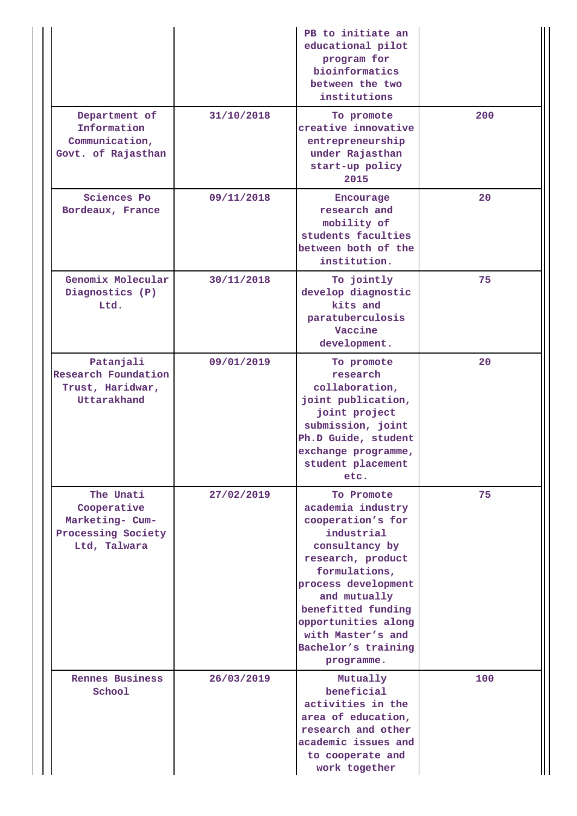|                                                                                   |            | PB to initiate an<br>educational pilot<br>program for<br>bioinformatics<br>between the two<br>institutions                                                                                                                                                               |     |
|-----------------------------------------------------------------------------------|------------|--------------------------------------------------------------------------------------------------------------------------------------------------------------------------------------------------------------------------------------------------------------------------|-----|
| Department of<br>Information<br>Communication,<br>Govt. of Rajasthan              | 31/10/2018 | To promote<br>creative innovative<br>entrepreneurship<br>under Rajasthan<br>start-up policy<br>2015                                                                                                                                                                      | 200 |
| Sciences Po<br>Bordeaux, France                                                   | 09/11/2018 | Encourage<br>research and<br>mobility of<br>students faculties<br>between both of the<br>institution.                                                                                                                                                                    | 20  |
| Genomix Molecular<br>Diagnostics (P)<br>Ltd.                                      | 30/11/2018 | To jointly<br>develop diagnostic<br>kits and<br>paratuberculosis<br>Vaccine<br>development.                                                                                                                                                                              | 75  |
| Patanjali<br>Research Foundation<br>Trust, Haridwar,<br>Uttarakhand               | 09/01/2019 | To promote<br>research<br>collaboration,<br>joint publication,<br>joint project<br>submission, joint<br>Ph.D Guide, student<br>exchange programme,<br>student placement<br>etc.                                                                                          | 20  |
| The Unati<br>Cooperative<br>Marketing- Cum-<br>Processing Society<br>Ltd, Talwara | 27/02/2019 | To Promote<br>academia industry<br>cooperation's for<br>industrial<br>consultancy by<br>research, product<br>formulations,<br>process development<br>and mutually<br>benefitted funding<br>opportunities along<br>with Master's and<br>Bachelor's training<br>programme. | 75  |
| <b>Rennes Business</b><br>School                                                  | 26/03/2019 | Mutually<br>beneficial<br>activities in the<br>area of education,<br>research and other<br>academic issues and<br>to cooperate and<br>work together                                                                                                                      | 100 |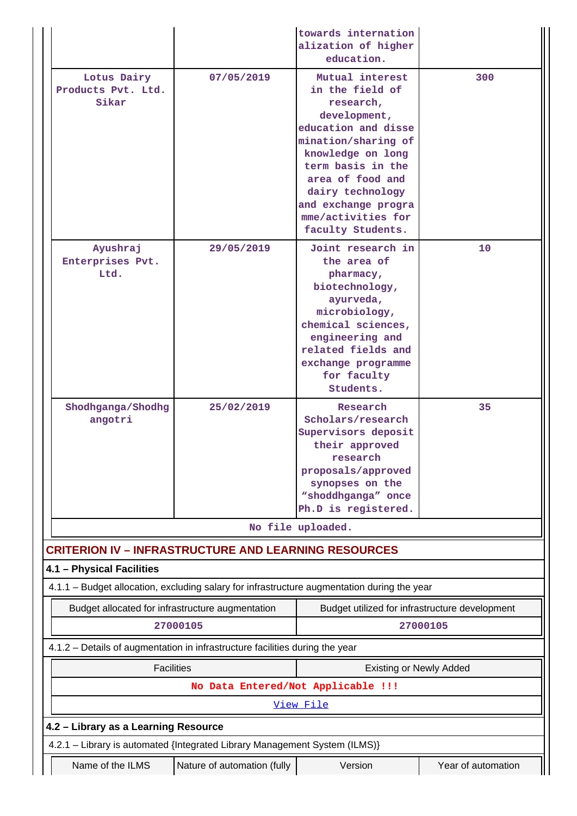|                                                                                             |                                    | towards internation<br>alization of higher<br>education.                                                                                                                                                                                                          |                    |
|---------------------------------------------------------------------------------------------|------------------------------------|-------------------------------------------------------------------------------------------------------------------------------------------------------------------------------------------------------------------------------------------------------------------|--------------------|
| Lotus Dairy<br>Products Pvt. Ltd.<br>Sikar                                                  | 07/05/2019                         | Mutual interest<br>in the field of<br>research,<br>development,<br>education and disse<br>mination/sharing of<br>knowledge on long<br>term basis in the<br>area of food and<br>dairy technology<br>and exchange progra<br>mme/activities for<br>faculty Students. | 300                |
| Ayushraj<br>Enterprises Pvt.<br>Ltd.                                                        | 29/05/2019                         | Joint research in<br>the area of<br>pharmacy,<br>biotechnology,<br>ayurveda,<br>microbiology,<br>chemical sciences,<br>engineering and<br>related fields and<br>exchange programme<br>for faculty<br>Students.                                                    | 10                 |
| Shodhganga/Shodhg<br>angotri                                                                | 25/02/2019                         | Research<br>Scholars/research<br>Supervisors deposit<br>their approved<br>research<br>proposals/approved<br>synopses on the<br>"shoddhganga" once<br>Ph.D is registered.                                                                                          | 35                 |
|                                                                                             |                                    | No file uploaded.                                                                                                                                                                                                                                                 |                    |
| <b>CRITERION IV - INFRASTRUCTURE AND LEARNING RESOURCES</b>                                 |                                    |                                                                                                                                                                                                                                                                   |                    |
| 4.1 - Physical Facilities                                                                   |                                    |                                                                                                                                                                                                                                                                   |                    |
| 4.1.1 - Budget allocation, excluding salary for infrastructure augmentation during the year |                                    |                                                                                                                                                                                                                                                                   |                    |
| Budget allocated for infrastructure augmentation                                            |                                    | Budget utilized for infrastructure development                                                                                                                                                                                                                    |                    |
|                                                                                             | 27000105                           |                                                                                                                                                                                                                                                                   | 27000105           |
| 4.1.2 - Details of augmentation in infrastructure facilities during the year                |                                    |                                                                                                                                                                                                                                                                   |                    |
| <b>Facilities</b>                                                                           |                                    | <b>Existing or Newly Added</b>                                                                                                                                                                                                                                    |                    |
|                                                                                             | No Data Entered/Not Applicable !!! |                                                                                                                                                                                                                                                                   |                    |
|                                                                                             |                                    | View File                                                                                                                                                                                                                                                         |                    |
| 4.2 - Library as a Learning Resource                                                        |                                    |                                                                                                                                                                                                                                                                   |                    |
| 4.2.1 - Library is automated {Integrated Library Management System (ILMS)}                  |                                    |                                                                                                                                                                                                                                                                   |                    |
| Name of the ILMS                                                                            | Nature of automation (fully        | Version                                                                                                                                                                                                                                                           | Year of automation |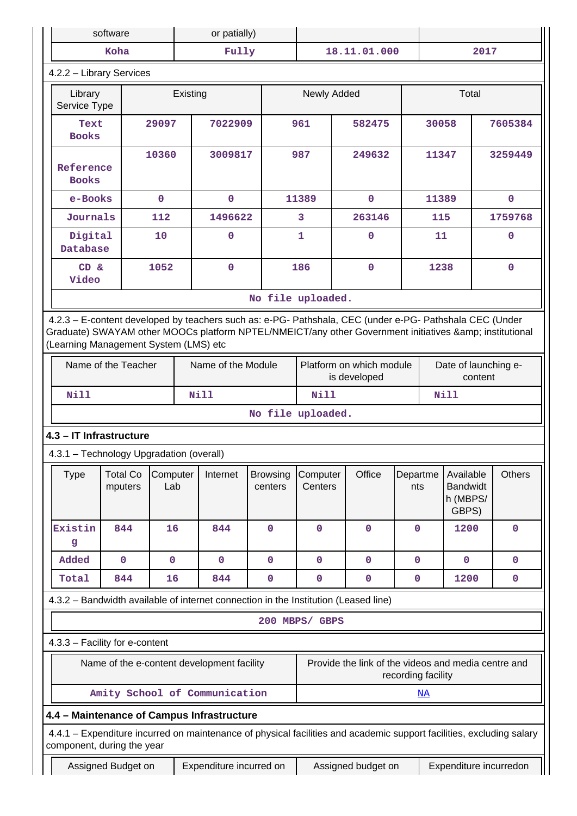|                                                                                                                                                                                                                                                         | software                   |                 | or patially) |                    |                            |                                                                             |                    |  |                 |                                                   |         |                        |
|---------------------------------------------------------------------------------------------------------------------------------------------------------------------------------------------------------------------------------------------------------|----------------------------|-----------------|--------------|--------------------|----------------------------|-----------------------------------------------------------------------------|--------------------|--|-----------------|---------------------------------------------------|---------|------------------------|
|                                                                                                                                                                                                                                                         | Koha                       |                 |              | Fully              |                            |                                                                             | 18.11.01.000       |  |                 | 2017                                              |         |                        |
| 4.2.2 - Library Services                                                                                                                                                                                                                                |                            |                 |              |                    |                            |                                                                             |                    |  |                 |                                                   |         |                        |
| Library<br>Service Type                                                                                                                                                                                                                                 | Existing                   |                 |              | Newly Added        |                            | Total                                                                       |                    |  |                 |                                                   |         |                        |
| <b>Books</b>                                                                                                                                                                                                                                            | 7022909<br>29097<br>Text   |                 |              | 961                | 582475                     |                                                                             | 30058              |  |                 | 7605384                                           |         |                        |
| 10360<br>Reference<br><b>Books</b>                                                                                                                                                                                                                      |                            |                 | 3009817      |                    | 987                        | 249632                                                                      |                    |  | 11347           |                                                   | 3259449 |                        |
| e-Books                                                                                                                                                                                                                                                 |                            | $\mathbf 0$     |              | $\mathbf 0$        |                            | 11389                                                                       | $\mathbf{O}$       |  | 11389           |                                                   |         | 0                      |
| Journals                                                                                                                                                                                                                                                |                            | 112             |              | 1496622            |                            | 3                                                                           | 263146             |  | 115             |                                                   |         | 1759768                |
| Digital<br>Database                                                                                                                                                                                                                                     |                            | 10              |              | $\mathbf 0$        |                            | 1                                                                           | $\mathbf{0}$       |  | 11              |                                                   |         | 0                      |
| CD &<br>Video                                                                                                                                                                                                                                           |                            | 1052            |              | $\mathbf 0$        |                            | 186                                                                         | $\mathbf{0}$       |  | 1238            |                                                   |         | 0                      |
|                                                                                                                                                                                                                                                         |                            |                 |              |                    | No file uploaded.          |                                                                             |                    |  |                 |                                                   |         |                        |
| 4.2.3 - E-content developed by teachers such as: e-PG- Pathshala, CEC (under e-PG- Pathshala CEC (Under<br>Graduate) SWAYAM other MOOCs platform NPTEL/NMEICT/any other Government initiatives & institutional<br>(Learning Management System (LMS) etc |                            |                 |              |                    |                            |                                                                             |                    |  |                 |                                                   |         |                        |
|                                                                                                                                                                                                                                                         | Name of the Teacher        |                 |              | Name of the Module |                            | Platform on which module<br>Date of launching e-<br>is developed<br>content |                    |  |                 |                                                   |         |                        |
| Nill                                                                                                                                                                                                                                                    |                            |                 |              | <b>Nill</b>        |                            | <b>Nill</b><br>Nill                                                         |                    |  |                 |                                                   |         |                        |
|                                                                                                                                                                                                                                                         |                            |                 |              |                    | No file uploaded.          |                                                                             |                    |  |                 |                                                   |         |                        |
| 4.3 - IT Infrastructure                                                                                                                                                                                                                                 |                            |                 |              |                    |                            |                                                                             |                    |  |                 |                                                   |         |                        |
| 4.3.1 - Technology Upgradation (overall)                                                                                                                                                                                                                |                            |                 |              |                    |                            |                                                                             |                    |  |                 |                                                   |         |                        |
| <b>Type</b>                                                                                                                                                                                                                                             | <b>Total Co</b><br>mputers | Computer<br>Lab |              | Internet           | <b>Browsing</b><br>centers | Computer<br>Centers                                                         | Office             |  | Departme<br>nts | Available<br><b>Bandwidt</b><br>h (MBPS/<br>GBPS) |         | <b>Others</b>          |
| Existin<br>g                                                                                                                                                                                                                                            | 844                        | 16              |              | 844                | 0                          | $\mathbf 0$                                                                 | 0                  |  | $\mathbf 0$     | 1200                                              |         | $\mathbf 0$            |
| Added                                                                                                                                                                                                                                                   | $\mathbf 0$                | $\mathbf 0$     |              | $\mathbf 0$        | $\mathbf 0$                | $\mathbf 0$                                                                 | $\mathbf 0$        |  | $\mathbf 0$     | $\mathbf 0$                                       |         | $\mathbf 0$            |
| Total                                                                                                                                                                                                                                                   | 844                        | 16              |              | 844                | $\mathbf 0$                | $\mathbf 0$                                                                 | $\mathbf 0$        |  | $\mathbf 0$     | 1200                                              |         | $\mathbf 0$            |
| 4.3.2 - Bandwidth available of internet connection in the Institution (Leased line)                                                                                                                                                                     |                            |                 |              |                    |                            |                                                                             |                    |  |                 |                                                   |         |                        |
|                                                                                                                                                                                                                                                         |                            |                 |              |                    | 200 MBPS/ GBPS             |                                                                             |                    |  |                 |                                                   |         |                        |
| 4.3.3 - Facility for e-content                                                                                                                                                                                                                          |                            |                 |              |                    |                            |                                                                             |                    |  |                 |                                                   |         |                        |
| Provide the link of the videos and media centre and<br>Name of the e-content development facility<br>recording facility                                                                                                                                 |                            |                 |              |                    |                            |                                                                             |                    |  |                 |                                                   |         |                        |
| Amity School of Communication<br><u>NA</u>                                                                                                                                                                                                              |                            |                 |              |                    |                            |                                                                             |                    |  |                 |                                                   |         |                        |
| 4.4 - Maintenance of Campus Infrastructure                                                                                                                                                                                                              |                            |                 |              |                    |                            |                                                                             |                    |  |                 |                                                   |         |                        |
| 4.4.1 – Expenditure incurred on maintenance of physical facilities and academic support facilities, excluding salary<br>component, during the year                                                                                                      |                            |                 |              |                    |                            |                                                                             |                    |  |                 |                                                   |         |                        |
| Expenditure incurred on<br>Assigned Budget on                                                                                                                                                                                                           |                            |                 |              |                    |                            |                                                                             | Assigned budget on |  |                 |                                                   |         | Expenditure incurredon |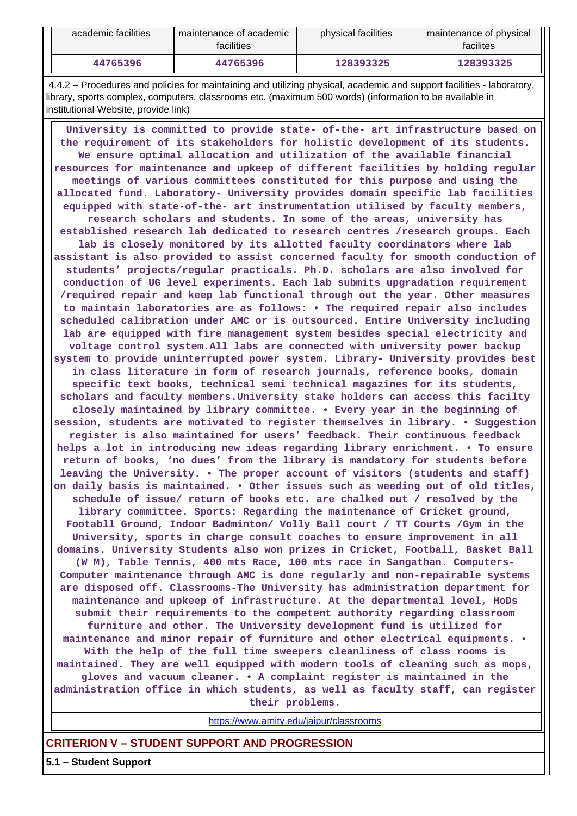| academic facilities | maintenance of academic<br><b>facilities</b> | physical facilities | maintenance of physical<br>facilites |
|---------------------|----------------------------------------------|---------------------|--------------------------------------|
| 44765396            | 44765396                                     | 128393325           | 128393325                            |

 4.4.2 – Procedures and policies for maintaining and utilizing physical, academic and support facilities - laboratory, library, sports complex, computers, classrooms etc. (maximum 500 words) (information to be available in institutional Website, provide link)

 **University is committed to provide state- of-the- art infrastructure based on the requirement of its stakeholders for holistic development of its students. We ensure optimal allocation and utilization of the available financial resources for maintenance and upkeep of different facilities by holding regular meetings of various committees constituted for this purpose and using the allocated fund. Laboratory- University provides domain specific lab facilities equipped with state-of-the- art instrumentation utilised by faculty members, research scholars and students. In some of the areas, university has established research lab dedicated to research centres /research groups. Each lab is closely monitored by its allotted faculty coordinators where lab assistant is also provided to assist concerned faculty for smooth conduction of students' projects/regular practicals. Ph.D. scholars are also involved for conduction of UG level experiments. Each lab submits upgradation requirement /required repair and keep lab functional through out the year. Other measures to maintain laboratories are as follows: • The required repair also includes scheduled calibration under AMC or is outsourced. Entire University including lab are equipped with fire management system besides special electricity and voltage control system.All labs are connected with university power backup system to provide uninterrupted power system. Library- University provides best in class literature in form of research journals, reference books, domain specific text books, technical semi technical magazines for its students, scholars and faculty members.University stake holders can access this facilty closely maintained by library committee. • Every year in the beginning of session, students are motivated to register themselves in library. • Suggestion register is also maintained for users' feedback. Their continuous feedback helps a lot in introducing new ideas regarding library enrichment. • To ensure return of books, 'no dues' from the library is mandatory for students before leaving the University. • The proper account of visitors (students and staff) on daily basis is maintained. • Other issues such as weeding out of old titles, schedule of issue/ return of books etc. are chalked out / resolved by the library committee. Sports: Regarding the maintenance of Cricket ground, Footabll Ground, Indoor Badminton/ Volly Ball court / TT Courts /Gym in the University, sports in charge consult coaches to ensure improvement in all domains. University Students also won prizes in Cricket, Football, Basket Ball (W M), Table Tennis, 400 mts Race, 100 mts race in Sangathan. Computers-Computer maintenance through AMC is done regularly and non-repairable systems are disposed off. Classrooms-The University has administration department for maintenance and upkeep of infrastructure. At the departmental level, HoDs submit their requirements to the competent authority regarding classroom furniture and other. The University development fund is utilized for maintenance and minor repair of furniture and other electrical equipments. • With the help of the full time sweepers cleanliness of class rooms is maintained. They are well equipped with modern tools of cleaning such as mops, gloves and vacuum cleaner. • A complaint register is maintained in the administration office in which students, as well as faculty staff, can register their problems.**

<https://www.amity.edu/jaipur/classrooms>

### **CRITERION V – STUDENT SUPPORT AND PROGRESSION**

**5.1 – Student Support**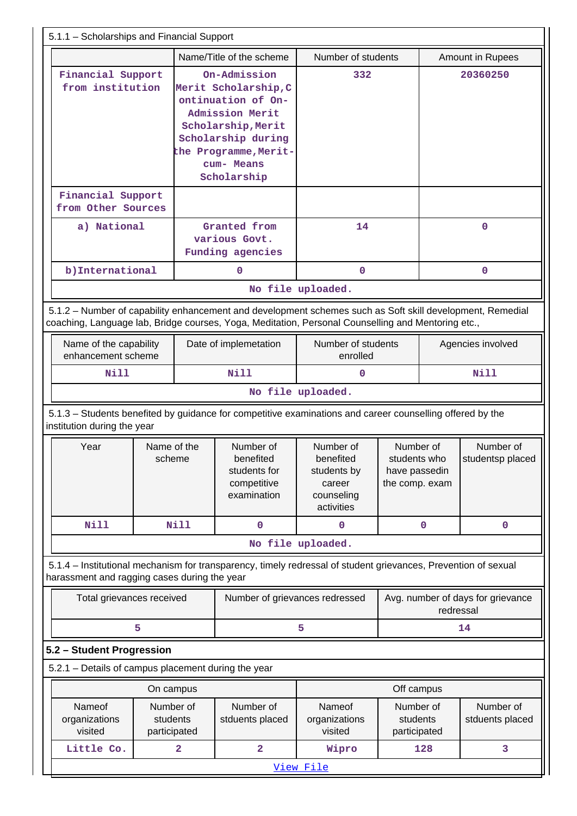| 5.1.1 - Scholarships and Financial Support                                                                                                                                                                      |                           |                              |                                                                                                                                                                                 |                                                                             |                                                              |                              |                                   |
|-----------------------------------------------------------------------------------------------------------------------------------------------------------------------------------------------------------------|---------------------------|------------------------------|---------------------------------------------------------------------------------------------------------------------------------------------------------------------------------|-----------------------------------------------------------------------------|--------------------------------------------------------------|------------------------------|-----------------------------------|
| Name/Title of the scheme                                                                                                                                                                                        |                           |                              |                                                                                                                                                                                 | Number of students                                                          |                                                              |                              | <b>Amount in Rupees</b>           |
| Financial Support<br>from institution                                                                                                                                                                           |                           |                              | On-Admission<br>Merit Scholarship, C<br>ontinuation of On-<br>Admission Merit<br>Scholarship, Merit<br>Scholarship during<br>the Programme, Merit-<br>cum- Means<br>Scholarship | 332                                                                         |                                                              |                              | 20360250                          |
| Financial Support<br>from Other Sources                                                                                                                                                                         |                           |                              |                                                                                                                                                                                 |                                                                             |                                                              |                              |                                   |
| a) National                                                                                                                                                                                                     |                           |                              | Granted from<br>various Govt.<br>Funding agencies                                                                                                                               | 14                                                                          |                                                              |                              | $\mathbf 0$                       |
| b) International                                                                                                                                                                                                |                           |                              | $\mathbf 0$                                                                                                                                                                     | $\mathbf 0$                                                                 |                                                              |                              | $\mathbf 0$                       |
|                                                                                                                                                                                                                 |                           |                              |                                                                                                                                                                                 | No file uploaded.                                                           |                                                              |                              |                                   |
| 5.1.2 - Number of capability enhancement and development schemes such as Soft skill development, Remedial<br>coaching, Language lab, Bridge courses, Yoga, Meditation, Personal Counselling and Mentoring etc., |                           |                              |                                                                                                                                                                                 |                                                                             |                                                              |                              |                                   |
| Name of the capability<br>enhancement scheme                                                                                                                                                                    |                           |                              | Date of implemetation                                                                                                                                                           | Number of students<br>enrolled                                              |                                                              | Agencies involved            |                                   |
| Nill                                                                                                                                                                                                            |                           |                              | Nill                                                                                                                                                                            | $\mathbf 0$                                                                 |                                                              |                              | <b>Nill</b>                       |
|                                                                                                                                                                                                                 |                           |                              |                                                                                                                                                                                 | No file uploaded.                                                           |                                                              |                              |                                   |
| 5.1.3 - Students benefited by guidance for competitive examinations and career counselling offered by the<br>institution during the year                                                                        |                           |                              |                                                                                                                                                                                 |                                                                             |                                                              |                              |                                   |
| Year                                                                                                                                                                                                            | Name of the<br>scheme     |                              | Number of<br>benefited<br>students for<br>competitive<br>examination                                                                                                            | Number of<br>benefited<br>students by<br>career<br>counseling<br>activities | Number of<br>students who<br>have passedin<br>the comp. exam |                              | Number of<br>studentsp placed     |
| <b>Nill</b>                                                                                                                                                                                                     |                           | Nill                         | $\mathbf 0$                                                                                                                                                                     | $\mathbf 0$                                                                 |                                                              | 0                            | $\mathbf 0$                       |
|                                                                                                                                                                                                                 |                           |                              |                                                                                                                                                                                 | No file uploaded.                                                           |                                                              |                              |                                   |
| 5.1.4 – Institutional mechanism for transparency, timely redressal of student grievances, Prevention of sexual<br>harassment and ragging cases during the year                                                  |                           |                              |                                                                                                                                                                                 |                                                                             |                                                              |                              |                                   |
|                                                                                                                                                                                                                 | Total grievances received |                              |                                                                                                                                                                                 | Number of grievances redressed                                              |                                                              | redressal                    | Avg. number of days for grievance |
|                                                                                                                                                                                                                 | 5                         |                              |                                                                                                                                                                                 | 5                                                                           |                                                              |                              | 14                                |
| 5.2 - Student Progression                                                                                                                                                                                       |                           |                              |                                                                                                                                                                                 |                                                                             |                                                              |                              |                                   |
| 5.2.1 - Details of campus placement during the year                                                                                                                                                             |                           |                              |                                                                                                                                                                                 |                                                                             |                                                              |                              |                                   |
|                                                                                                                                                                                                                 | On campus                 |                              |                                                                                                                                                                                 |                                                                             | Off campus                                                   |                              |                                   |
| Nameof<br>Number of<br>students<br>organizations<br>visited<br>participated                                                                                                                                     |                           | Number of<br>stduents placed | Nameof<br>organizations<br>visited                                                                                                                                              | Number of<br>students<br>participated                                       |                                                              | Number of<br>stduents placed |                                   |
| Little Co.                                                                                                                                                                                                      |                           | 2                            | $\overline{\mathbf{2}}$                                                                                                                                                         | Wipro                                                                       |                                                              | 128                          | 3                                 |
|                                                                                                                                                                                                                 |                           |                              |                                                                                                                                                                                 | View File                                                                   |                                                              |                              |                                   |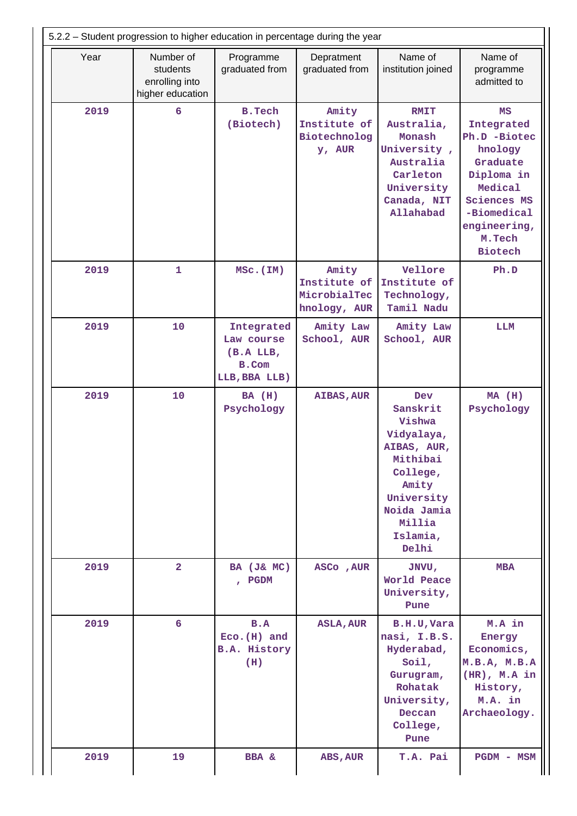| 5.2.2 – Student progression to higher education in percentage during the year |                |                                                                 |                                                       |                                                                                                                                                            |                                                                                                                                                                   |  |  |  |
|-------------------------------------------------------------------------------|----------------|-----------------------------------------------------------------|-------------------------------------------------------|------------------------------------------------------------------------------------------------------------------------------------------------------------|-------------------------------------------------------------------------------------------------------------------------------------------------------------------|--|--|--|
| Year<br>Number of<br>students<br>enrolling into<br>higher education           |                | Programme<br>graduated from                                     | Depratment<br>graduated from                          | Name of<br>institution joined                                                                                                                              | Name of<br>programme<br>admitted to                                                                                                                               |  |  |  |
| 2019                                                                          | 6              | <b>B.Tech</b><br>(Biotech)                                      | Amity<br>Institute of<br>Biotechnolog<br>y, AUR       | <b>RMIT</b><br>Australia,<br>Monash<br>University,<br>Australia<br>Carleton<br>University<br>Canada, NIT<br>Allahabad                                      | MS<br>Integrated<br>Ph.D -Biotec<br>hnology<br>Graduate<br>Diploma in<br>Medical<br><b>Sciences MS</b><br>-Biomedical<br>engineering,<br>M.Tech<br><b>Biotech</b> |  |  |  |
| 2019                                                                          | 1<br>MSc. (IM) |                                                                 | Amity<br>Institute of<br>MicrobialTec<br>hnology, AUR | Vellore<br>Institute of<br>Technology,<br>Tamil Nadu                                                                                                       | Ph.D                                                                                                                                                              |  |  |  |
| 2019                                                                          | 10             | Integrated<br>Law course<br>(B.A LLB,<br>B.Com<br>LLB, BBA LLB) | Amity Law<br>School, AUR                              | Amity Law<br>School, AUR                                                                                                                                   | LLM                                                                                                                                                               |  |  |  |
| 2019                                                                          | 10             | BA (H)<br>Psychology                                            | <b>AIBAS, AUR</b>                                     | <b>Dev</b><br>Sanskrit<br>Vishwa<br>Vidyalaya,<br>AIBAS, AUR,<br>Mithibai<br>College,<br>Amity<br>University<br>Noida Jamia<br>Millia<br>Islamia,<br>Delhi | $MA$ (H)<br>Psychology                                                                                                                                            |  |  |  |
| 2019                                                                          | $\overline{2}$ | BA (J& MC)<br>, PGDM                                            | ASCo, AUR                                             | JNVU,<br>World Peace<br>University,<br>Pune                                                                                                                | <b>MBA</b>                                                                                                                                                        |  |  |  |
| 2019                                                                          | 6              | B.A<br>$Eco.(H)$ and<br><b>B.A. History</b><br>(H)              | <b>ASLA, AUR</b>                                      | B.H.U, Vara<br>nasi, I.B.S.<br>Hyderabad,<br>Soil,<br>Gurugram,<br>Rohatak<br>University,<br>Deccan<br>College,<br>Pune                                    | M.A in<br>Energy<br>Economics,<br>M.B.A, M.B.A<br>$(HR)$ , M.A in<br>History,<br>M.A. in<br>Archaeology.                                                          |  |  |  |
| 2019                                                                          | 19             | <b>BBA</b> &                                                    | ABS, AUR                                              | T.A. Pai                                                                                                                                                   | <b>PGDM - MSM</b>                                                                                                                                                 |  |  |  |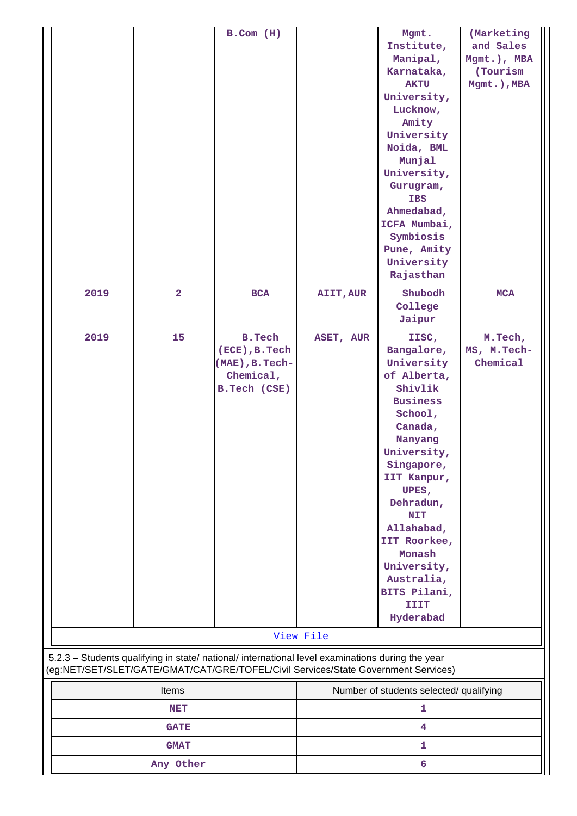|      |                | $B.$ Com $(H)$                                                                                   |           | Mgmt.<br>Institute,<br>Manipal,<br>Karnataka,<br><b>AKTU</b><br>University,<br>Lucknow,<br>Amity<br>University<br>Noida, BML<br>Munjal<br>University,<br>Gurugram,<br><b>IBS</b><br>Ahmedabad,<br>ICFA Mumbai,<br>Symbiosis<br>Pune, Amity<br>University<br>Rajasthan                                     | (Marketing<br>and Sales<br>Mgmt.), MBA<br>(Tourism)<br>Mgmt.), MBA |
|------|----------------|--------------------------------------------------------------------------------------------------|-----------|-----------------------------------------------------------------------------------------------------------------------------------------------------------------------------------------------------------------------------------------------------------------------------------------------------------|--------------------------------------------------------------------|
| 2019 | $\overline{a}$ | BCA                                                                                              | AIIT, AUR | Shubodh<br>College<br>Jaipur                                                                                                                                                                                                                                                                              | <b>MCA</b>                                                         |
| 2019 | 15             | <b>B.Tech</b><br>(ECE), B. Tech<br>(MAE), B. Tech-<br>Chemical,<br>B.Tech (CSE)                  | ASET, AUR | IISC,<br>Bangalore,<br>University<br>of Alberta,<br>Shivlik<br><b>Business</b><br>School,<br>Canada,<br>Nanyang<br>University,<br>Singapore,<br>IIT Kanpur,<br>UPES,<br>Dehradun,<br><b>NIT</b><br>Allahabad,<br>IIT Roorkee,<br>Monash<br>University,<br>Australia,<br>BITS Pilani,<br>IIIT<br>Hyderabad | M.Tech,<br>MS, M.Tech-<br>Chemical                                 |
|      |                | 5.2.3 - Students qualifying in state/ national/ international level examinations during the year | View File |                                                                                                                                                                                                                                                                                                           |                                                                    |
|      | Items          | (eg:NET/SET/SLET/GATE/GMAT/CAT/GRE/TOFEL/Civil Services/State Government Services)               |           | Number of students selected/ qualifying                                                                                                                                                                                                                                                                   |                                                                    |
|      | <b>NET</b>     |                                                                                                  |           | 1                                                                                                                                                                                                                                                                                                         |                                                                    |
|      | <b>GATE</b>    |                                                                                                  |           | 4                                                                                                                                                                                                                                                                                                         |                                                                    |
|      | <b>GMAT</b>    |                                                                                                  |           | 1                                                                                                                                                                                                                                                                                                         |                                                                    |
|      | Any Other      |                                                                                                  |           | 6                                                                                                                                                                                                                                                                                                         |                                                                    |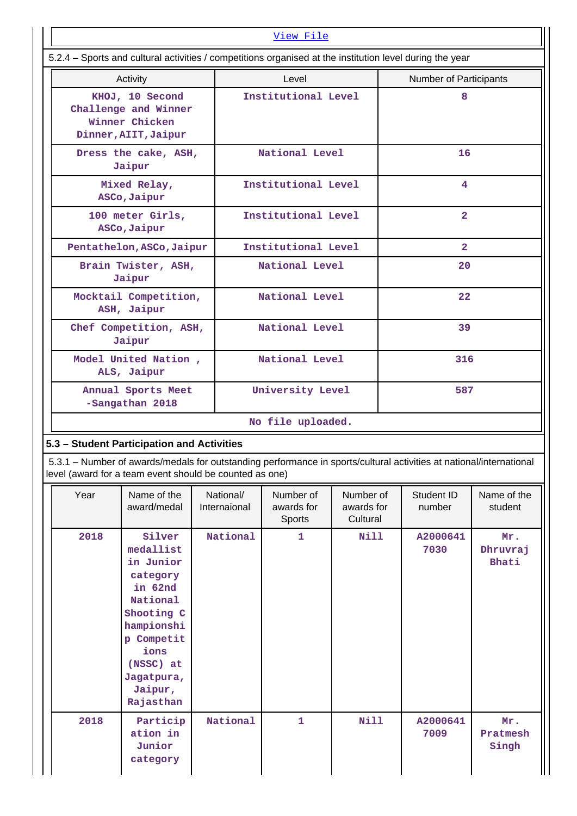| View File                                                                         |                                                                                                                                                                                                                              |                           |                  |                                   |                                     |    |                        |                          |
|-----------------------------------------------------------------------------------|------------------------------------------------------------------------------------------------------------------------------------------------------------------------------------------------------------------------------|---------------------------|------------------|-----------------------------------|-------------------------------------|----|------------------------|--------------------------|
|                                                                                   | 5.2.4 - Sports and cultural activities / competitions organised at the institution level during the year                                                                                                                     |                           |                  |                                   |                                     |    |                        |                          |
| Activity                                                                          |                                                                                                                                                                                                                              |                           | Level            |                                   |                                     |    | Number of Participants |                          |
| KHOJ, 10 Second<br>Challenge and Winner<br>Winner Chicken<br>Dinner, AIIT, Jaipur |                                                                                                                                                                                                                              |                           |                  | Institutional Level               |                                     | 8  |                        |                          |
|                                                                                   | Dress the cake, ASH,<br>Jaipur                                                                                                                                                                                               |                           |                  | National Level                    |                                     |    | 16                     |                          |
|                                                                                   | Mixed Relay,<br>ASCo, Jaipur                                                                                                                                                                                                 |                           |                  | Institutional Level               |                                     |    | 4                      |                          |
|                                                                                   | 100 meter Girls,<br>ASCo, Jaipur                                                                                                                                                                                             |                           |                  | Institutional Level               |                                     |    | $\overline{a}$         |                          |
|                                                                                   | Pentathelon, ASCo, Jaipur                                                                                                                                                                                                    |                           |                  | Institutional Level               |                                     |    | $\overline{2}$         |                          |
|                                                                                   | Brain Twister, ASH,<br>Jaipur                                                                                                                                                                                                |                           |                  | National Level                    |                                     |    | 20                     |                          |
|                                                                                   | Mocktail Competition,<br>ASH, Jaipur                                                                                                                                                                                         |                           |                  | National Level                    |                                     |    | 22                     |                          |
|                                                                                   | Chef Competition, ASH,<br>Jaipur                                                                                                                                                                                             |                           |                  | National Level                    |                                     | 39 |                        |                          |
| Model United Nation,<br>ALS, Jaipur                                               |                                                                                                                                                                                                                              |                           | National Level   |                                   | 316                                 |    |                        |                          |
|                                                                                   | Annual Sports Meet<br>-Sangathan 2018                                                                                                                                                                                        |                           | University Level |                                   | 587                                 |    |                        |                          |
|                                                                                   |                                                                                                                                                                                                                              |                           |                  | No file uploaded.                 |                                     |    |                        |                          |
|                                                                                   | 5.3 - Student Participation and Activities<br>5.3.1 - Number of awards/medals for outstanding performance in sports/cultural activities at national/international<br>level (award for a team event should be counted as one) |                           |                  |                                   |                                     |    |                        |                          |
| Year                                                                              | Name of the<br>award/medal                                                                                                                                                                                                   | National/<br>Internaional |                  | Number of<br>awards for<br>Sports | Number of<br>awards for<br>Cultural |    | Student ID<br>number   | Name of the<br>student   |
| 2018                                                                              | Silver<br>medallist<br>in Junior<br>category<br>in 62nd<br>National<br>Shooting C<br>hampionshi<br>p Competit<br>ions<br>(NSSC) at<br>Jagatpura,<br>Jaipur,<br>Rajasthan                                                     | National                  |                  | $\mathbf{1}$                      | <b>Nill</b>                         |    | A2000641<br>7030       | Mr.<br>Dhruvraj<br>Bhati |
| 2018                                                                              | Particip<br>ation in<br>Junior<br>category                                                                                                                                                                                   | National                  |                  | $\mathbf{1}$                      | Nill                                |    | A2000641<br>7009       | Mr.<br>Pratmesh<br>Singh |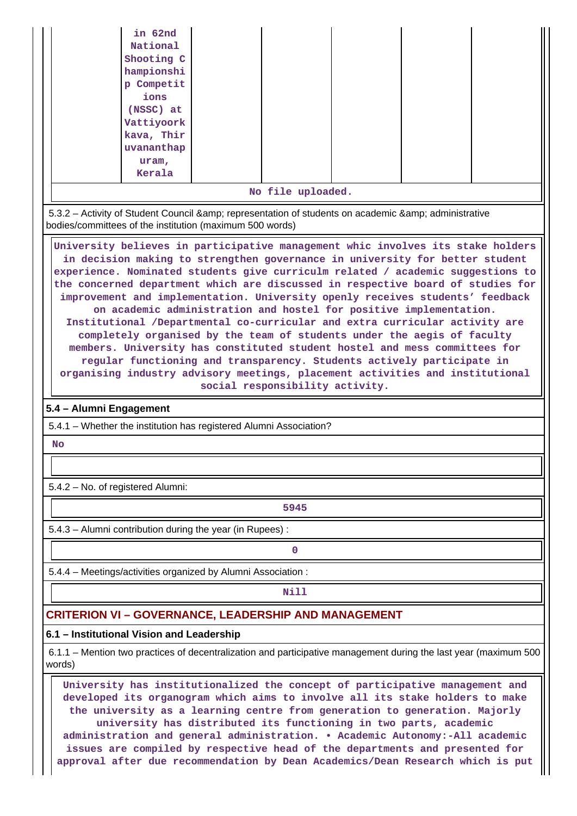|                                                                                                                                                                                                                                            | in 62nd                |  |                                                                    |  |  |  |  |  |
|--------------------------------------------------------------------------------------------------------------------------------------------------------------------------------------------------------------------------------------------|------------------------|--|--------------------------------------------------------------------|--|--|--|--|--|
|                                                                                                                                                                                                                                            | National<br>Shooting C |  |                                                                    |  |  |  |  |  |
|                                                                                                                                                                                                                                            | hampionshi             |  |                                                                    |  |  |  |  |  |
|                                                                                                                                                                                                                                            | p Competit<br>ions     |  |                                                                    |  |  |  |  |  |
|                                                                                                                                                                                                                                            | (NSSC) at              |  |                                                                    |  |  |  |  |  |
|                                                                                                                                                                                                                                            | Vattiyoork             |  |                                                                    |  |  |  |  |  |
|                                                                                                                                                                                                                                            | kava, Thir             |  |                                                                    |  |  |  |  |  |
|                                                                                                                                                                                                                                            | uvananthap<br>uram,    |  |                                                                    |  |  |  |  |  |
|                                                                                                                                                                                                                                            | Kerala                 |  |                                                                    |  |  |  |  |  |
|                                                                                                                                                                                                                                            |                        |  | No file uploaded.                                                  |  |  |  |  |  |
| 5.3.2 - Activity of Student Council & representation of students on academic & administrative<br>bodies/committees of the institution (maximum 500 words)                                                                                  |                        |  |                                                                    |  |  |  |  |  |
| University believes in participative management whic involves its stake holders                                                                                                                                                            |                        |  |                                                                    |  |  |  |  |  |
| in decision making to strengthen governance in university for better student<br>experience. Nominated students give curriculm related / academic suggestions to                                                                            |                        |  |                                                                    |  |  |  |  |  |
| the concerned department which are discussed in respective board of studies for                                                                                                                                                            |                        |  |                                                                    |  |  |  |  |  |
| improvement and implementation. University openly receives students' feedback                                                                                                                                                              |                        |  |                                                                    |  |  |  |  |  |
| Institutional /Departmental co-curricular and extra curricular activity are                                                                                                                                                                |                        |  | on academic administration and hostel for positive implementation. |  |  |  |  |  |
| completely organised by the team of students under the aegis of faculty                                                                                                                                                                    |                        |  |                                                                    |  |  |  |  |  |
| members. University has constituted student hostel and mess committees for                                                                                                                                                                 |                        |  |                                                                    |  |  |  |  |  |
| regular functioning and transparency. Students actively participate in                                                                                                                                                                     |                        |  |                                                                    |  |  |  |  |  |
| organising industry advisory meetings, placement activities and institutional                                                                                                                                                              |                        |  |                                                                    |  |  |  |  |  |
| social responsibility activity.                                                                                                                                                                                                            |                        |  |                                                                    |  |  |  |  |  |
|                                                                                                                                                                                                                                            |                        |  |                                                                    |  |  |  |  |  |
| 5.4 - Alumni Engagement                                                                                                                                                                                                                    |                        |  |                                                                    |  |  |  |  |  |
| 5.4.1 - Whether the institution has registered Alumni Association?<br><b>No</b>                                                                                                                                                            |                        |  |                                                                    |  |  |  |  |  |
|                                                                                                                                                                                                                                            |                        |  |                                                                    |  |  |  |  |  |
| 5.4.2 - No. of registered Alumni:                                                                                                                                                                                                          |                        |  |                                                                    |  |  |  |  |  |
|                                                                                                                                                                                                                                            |                        |  | 5945                                                               |  |  |  |  |  |
| 5.4.3 - Alumni contribution during the year (in Rupees):                                                                                                                                                                                   |                        |  |                                                                    |  |  |  |  |  |
|                                                                                                                                                                                                                                            |                        |  | 0                                                                  |  |  |  |  |  |
| 5.4.4 - Meetings/activities organized by Alumni Association:                                                                                                                                                                               |                        |  |                                                                    |  |  |  |  |  |
|                                                                                                                                                                                                                                            |                        |  | Nill                                                               |  |  |  |  |  |
| <b>CRITERION VI - GOVERNANCE, LEADERSHIP AND MANAGEMENT</b>                                                                                                                                                                                |                        |  |                                                                    |  |  |  |  |  |
| 6.1 - Institutional Vision and Leadership                                                                                                                                                                                                  |                        |  |                                                                    |  |  |  |  |  |
| 6.1.1 – Mention two practices of decentralization and participative management during the last year (maximum 500<br>words)                                                                                                                 |                        |  |                                                                    |  |  |  |  |  |
| University has institutionalized the concept of participative management and<br>developed its organogram which aims to involve all its stake holders to make<br>the university as a learning centre from generation to generation. Majorly |                        |  |                                                                    |  |  |  |  |  |

**administration and general administration. • Academic Autonomy:-All academic issues are compiled by respective head of the departments and presented for approval after due recommendation by Dean Academics/Dean Research which is put**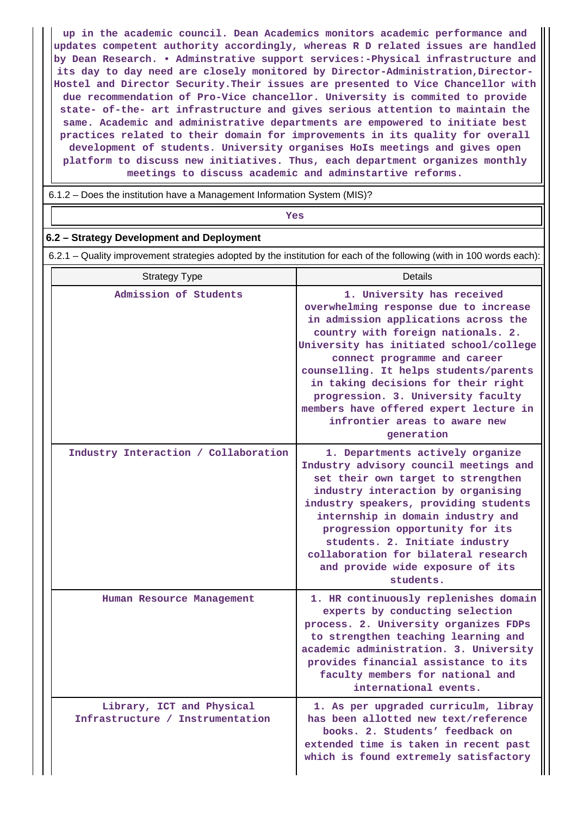**up in the academic council. Dean Academics monitors academic performance and updates competent authority accordingly, whereas R D related issues are handled by Dean Research. • Adminstrative support services:-Physical infrastructure and its day to day need are closely monitored by Director-Administration,Director-Hostel and Director Security.Their issues are presented to Vice Chancellor with due recommendation of Pro-Vice chancellor. University is commited to provide state- of-the- art infrastructure and gives serious attention to maintain the same. Academic and administrative departments are empowered to initiate best practices related to their domain for improvements in its quality for overall development of students. University organises HoIs meetings and gives open platform to discuss new initiatives. Thus, each department organizes monthly meetings to discuss academic and adminstartive reforms.**

6.1.2 – Does the institution have a Management Information System (MIS)?

*Yes* 

### **6.2 – Strategy Development and Deployment**

6.2.1 – Quality improvement strategies adopted by the institution for each of the following (with in 100 words each):

| <b>Strategy Type</b>                                          | <b>Details</b>                                                                                                                                                                                                                                                                                                                                                                                                                               |
|---------------------------------------------------------------|----------------------------------------------------------------------------------------------------------------------------------------------------------------------------------------------------------------------------------------------------------------------------------------------------------------------------------------------------------------------------------------------------------------------------------------------|
| Admission of Students                                         | 1. University has received<br>overwhelming response due to increase<br>in admission applications across the<br>country with foreign nationals. 2.<br>University has initiated school/college<br>connect programme and career<br>counselling. It helps students/parents<br>in taking decisions for their right<br>progression. 3. University faculty<br>members have offered expert lecture in<br>infrontier areas to aware new<br>generation |
| Industry Interaction / Collaboration                          | 1. Departments actively organize<br>Industry advisory council meetings and<br>set their own target to strengthen<br>industry interaction by organising<br>industry speakers, providing students<br>internship in domain industry and<br>progression opportunity for its<br>students. 2. Initiate industry<br>collaboration for bilateral research<br>and provide wide exposure of its<br>students.                                           |
| Human Resource Management                                     | 1. HR continuously replenishes domain<br>experts by conducting selection<br>process. 2. University organizes FDPs<br>to strengthen teaching learning and<br>academic administration. 3. University<br>provides financial assistance to its<br>faculty members for national and<br>international events.                                                                                                                                      |
| Library, ICT and Physical<br>Infrastructure / Instrumentation | 1. As per upgraded curriculm, libray<br>has been allotted new text/reference<br>books. 2. Students' feedback on<br>extended time is taken in recent past<br>which is found extremely satisfactory                                                                                                                                                                                                                                            |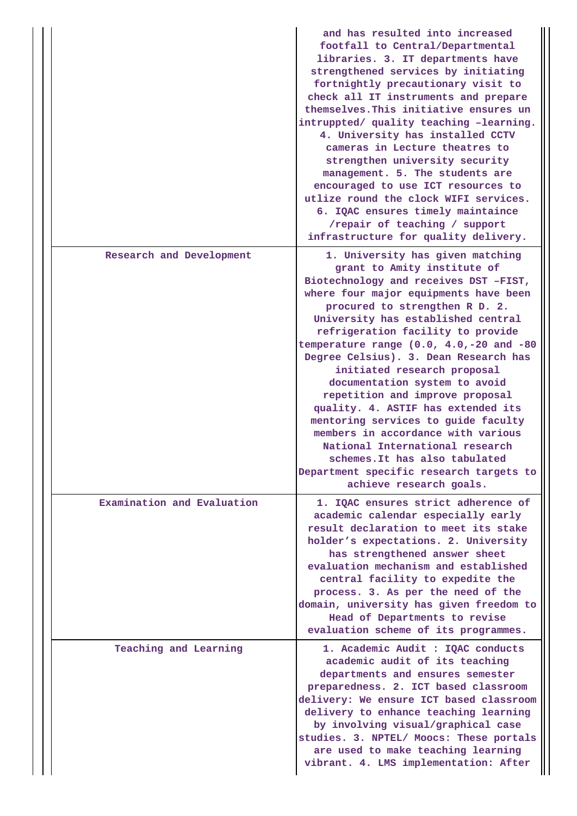|                            | and has resulted into increased<br>footfall to Central/Departmental<br>libraries. 3. IT departments have<br>strengthened services by initiating<br>fortnightly precautionary visit to<br>check all IT instruments and prepare<br>themselves. This initiative ensures un<br>intruppted/ quality teaching -learning.<br>4. University has installed CCTV<br>cameras in Lecture theatres to<br>strengthen university security<br>management. 5. The students are<br>encouraged to use ICT resources to<br>utlize round the clock WIFI services.<br>6. IQAC ensures timely maintaince<br>/repair of teaching / support<br>infrastructure for quality delivery.                                                               |
|----------------------------|--------------------------------------------------------------------------------------------------------------------------------------------------------------------------------------------------------------------------------------------------------------------------------------------------------------------------------------------------------------------------------------------------------------------------------------------------------------------------------------------------------------------------------------------------------------------------------------------------------------------------------------------------------------------------------------------------------------------------|
| Research and Development   | 1. University has given matching<br>grant to Amity institute of<br>Biotechnology and receives DST -FIST,<br>where four major equipments have been<br>procured to strengthen R D. 2.<br>University has established central<br>refrigeration facility to provide<br>temperature range $(0.0, 4.0, -20$ and $-80$<br>Degree Celsius). 3. Dean Research has<br>initiated research proposal<br>documentation system to avoid<br>repetition and improve proposal<br>quality. 4. ASTIF has extended its<br>mentoring services to guide faculty<br>members in accordance with various<br>National International research<br>schemes. It has also tabulated<br>Department specific research targets to<br>achieve research goals. |
| Examination and Evaluation | 1. IQAC ensures strict adherence of<br>academic calendar especially early<br>result declaration to meet its stake<br>holder's expectations. 2. University<br>has strengthened answer sheet<br>evaluation mechanism and established<br>central facility to expedite the<br>process. 3. As per the need of the<br>domain, university has given freedom to<br>Head of Departments to revise<br>evaluation scheme of its programmes.                                                                                                                                                                                                                                                                                         |
| Teaching and Learning      | 1. Academic Audit : IQAC conducts<br>academic audit of its teaching<br>departments and ensures semester<br>preparedness. 2. ICT based classroom<br>delivery: We ensure ICT based classroom<br>delivery to enhance teaching learning<br>by involving visual/graphical case<br>studies. 3. NPTEL/ Moocs: These portals<br>are used to make teaching learning<br>vibrant. 4. LMS implementation: After                                                                                                                                                                                                                                                                                                                      |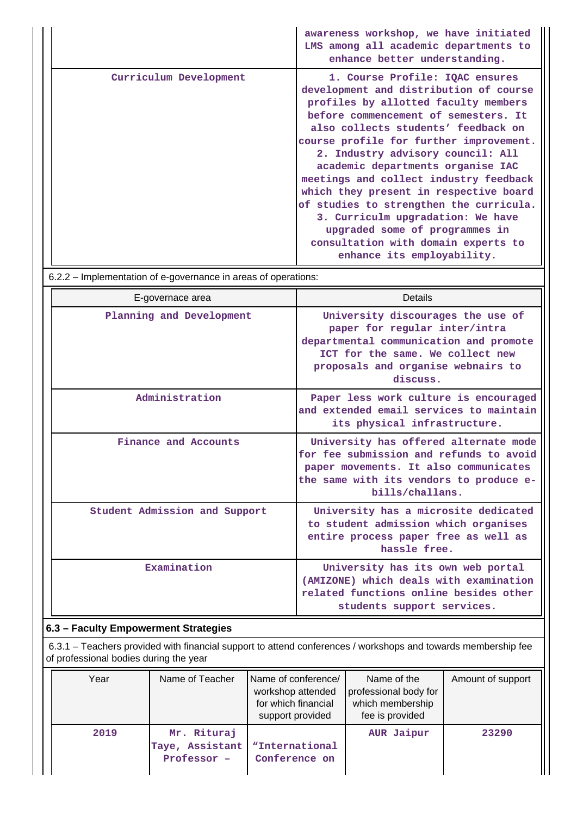|                        | awareness workshop, we have initiated<br>LMS among all academic departments to<br>enhance better understanding.                                                                                                                                                                                                                                                                                                                                                                                                                                                                                  |
|------------------------|--------------------------------------------------------------------------------------------------------------------------------------------------------------------------------------------------------------------------------------------------------------------------------------------------------------------------------------------------------------------------------------------------------------------------------------------------------------------------------------------------------------------------------------------------------------------------------------------------|
| Curriculum Development | 1. Course Profile: IQAC ensures<br>development and distribution of course<br>profiles by allotted faculty members<br>before commencement of semesters. It<br>also collects students' feedback on<br>course profile for further improvement.<br>2. Industry advisory council: All<br>academic departments organise IAC<br>meetings and collect industry feedback<br>which they present in respective board<br>of studies to strengthen the curricula.<br>3. Curriculm upgradation: We have<br>upgraded some of programmes in<br>consultation with domain experts to<br>enhance its employability. |

|  |  | 6.2.2 – Implementation of e-governance in areas of operations: |
|--|--|----------------------------------------------------------------|
|  |  |                                                                |

| E-governace area              | Details                                                                                                                                                                                            |
|-------------------------------|----------------------------------------------------------------------------------------------------------------------------------------------------------------------------------------------------|
| Planning and Development      | University discourages the use of<br>paper for regular inter/intra<br>departmental communication and promote<br>ICT for the same. We collect new<br>proposals and organise webnairs to<br>discuss. |
| Administration                | Paper less work culture is encouraged<br>and extended email services to maintain<br>its physical infrastructure.                                                                                   |
| Finance and Accounts          | University has offered alternate mode<br>for fee submission and refunds to avoid<br>paper movements. It also communicates<br>the same with its vendors to produce e-<br>bills/challans.            |
| Student Admission and Support | University has a microsite dedicated<br>to student admission which organises<br>entire process paper free as well as<br>hassle free.                                                               |
| Examination                   | University has its own web portal<br>(AMIZONE) which deals with examination<br>related functions online besides other<br>students support services.                                                |

## **6.3 – Faculty Empowerment Strategies**

 6.3.1 – Teachers provided with financial support to attend conferences / workshops and towards membership fee of professional bodies during the year

| Year | Name of Teacher                               | Name of conference/<br>workshop attended<br>for which financial<br>support provided | Name of the<br>professional body for<br>which membership<br>fee is provided | Amount of support |
|------|-----------------------------------------------|-------------------------------------------------------------------------------------|-----------------------------------------------------------------------------|-------------------|
| 2019 | Mr. Rituraj<br>Taye, Assistant<br>Professor - | "International<br>Conference on                                                     | AUR Jaipur                                                                  | 23290             |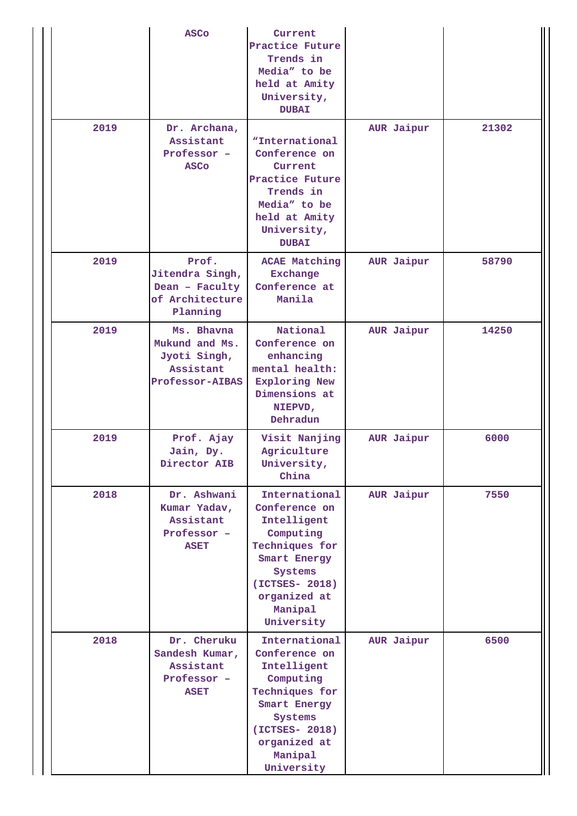|      | <b>ASCO</b>                                                                         | Current<br>Practice Future<br>Trends in<br>Media" to be<br>held at Amity<br>University,<br><b>DUBAI</b>                                                            |            |       |
|------|-------------------------------------------------------------------------------------|--------------------------------------------------------------------------------------------------------------------------------------------------------------------|------------|-------|
| 2019 | Dr. Archana,<br>Assistant<br>Professor -<br><b>ASCo</b>                             | "International<br>Conference on<br>Current<br>Practice Future<br>Trends in<br>Media" to be<br>held at Amity<br>University,<br><b>DUBAI</b>                         | AUR Jaipur | 21302 |
| 2019 | Prof.<br>Jitendra Singh,<br>Dean - Faculty<br>of Architecture<br>Planning           | <b>ACAE Matching</b><br><b>Exchange</b><br>Conference at<br>Manila                                                                                                 | AUR Jaipur | 58790 |
| 2019 | Ms. Bhavna<br>Mukund and Ms.<br>Jyoti Singh,<br>Assistant<br><b>Professor-AIBAS</b> | National<br>Conference on<br>enhancing<br>mental health:<br><b>Exploring New</b><br>Dimensions at<br>NIEPVD,<br>Dehradun                                           | AUR Jaipur | 14250 |
| 2019 | Prof. Ajay<br>Jain, Dy.<br>Director AIB                                             | Visit Nanjing<br>Agriculture<br>University,<br>China                                                                                                               | AUR Jaipur | 6000  |
| 2018 | Dr. Ashwani<br>Kumar Yadav,<br>Assistant<br>Professor -<br><b>ASET</b>              | International<br>Conference on<br>Intelligent<br>Computing<br>Techniques for<br>Smart Energy<br>Systems<br>(ICTSES- 2018)<br>organized at<br>Manipal<br>University | AUR Jaipur | 7550  |
| 2018 | Dr. Cheruku<br>Sandesh Kumar,<br>Assistant<br>Professor -<br><b>ASET</b>            | International<br>Conference on<br>Intelligent<br>Computing<br>Techniques for<br>Smart Energy<br>Systems<br>(ICTSES- 2018)<br>organized at<br>Manipal<br>University | AUR Jaipur | 6500  |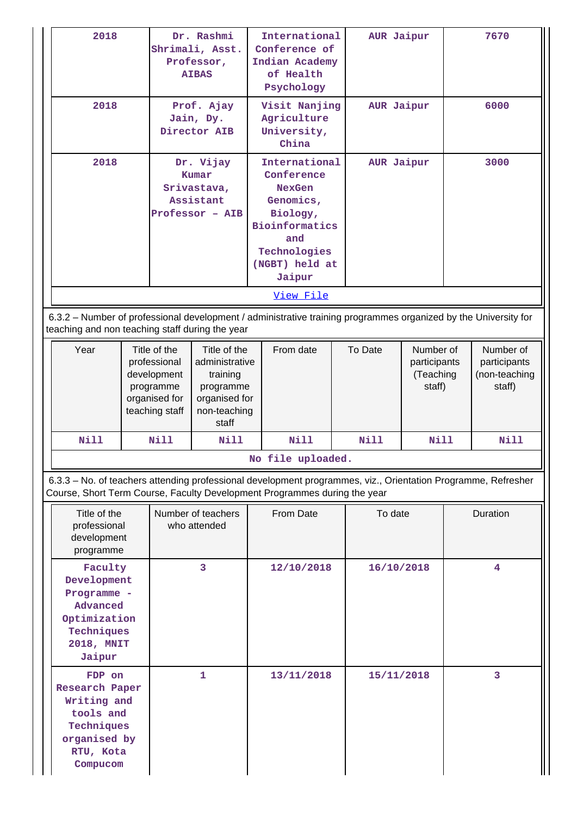| 2018                                                                                                                                                                                       |                                                                                                                                       |                                                                                             | Dr. Rashmi<br>Shrimali, Asst.<br>Professor,<br><b>AIBAS</b>                                                    | International<br>Conference of<br>Indian Academy<br>of Health<br>Psychology |                                                                                                                                                   | AUR Jaipur |             | 7670                                                 |          |      |
|--------------------------------------------------------------------------------------------------------------------------------------------------------------------------------------------|---------------------------------------------------------------------------------------------------------------------------------------|---------------------------------------------------------------------------------------------|----------------------------------------------------------------------------------------------------------------|-----------------------------------------------------------------------------|---------------------------------------------------------------------------------------------------------------------------------------------------|------------|-------------|------------------------------------------------------|----------|------|
| 2018                                                                                                                                                                                       |                                                                                                                                       |                                                                                             | Prof. Ajay<br>Jain, Dy.<br>Director AIB                                                                        | Visit Nanjing<br>Agriculture<br>University,<br>China                        |                                                                                                                                                   | AUR Jaipur |             |                                                      | 6000     |      |
| 2018                                                                                                                                                                                       |                                                                                                                                       |                                                                                             | Dr. Vijay<br>Kumar<br>Srivastava,<br>Assistant<br>Professor - AIB                                              |                                                                             | International<br>Conference<br><b>NexGen</b><br>Genomics,<br>Biology,<br><b>Bioinformatics</b><br>and<br>Technologies<br>(NGBT) held at<br>Jaipur |            |             | AUR Jaipur                                           |          | 3000 |
|                                                                                                                                                                                            |                                                                                                                                       |                                                                                             |                                                                                                                |                                                                             | View File                                                                                                                                         |            |             |                                                      |          |      |
| 6.3.2 - Number of professional development / administrative training programmes organized by the University for<br>teaching and non teaching staff during the year                         |                                                                                                                                       |                                                                                             |                                                                                                                |                                                                             |                                                                                                                                                   |            |             |                                                      |          |      |
| Year                                                                                                                                                                                       |                                                                                                                                       | Title of the<br>professional<br>development<br>programme<br>organised for<br>teaching staff | Title of the<br>From date<br>administrative<br>training<br>programme<br>organised for<br>non-teaching<br>staff |                                                                             | To Date<br>Number of<br>participants<br>(Teaching<br>staff)                                                                                       |            |             | Number of<br>participants<br>(non-teaching<br>staff) |          |      |
| <b>Nill</b>                                                                                                                                                                                |                                                                                                                                       | Nill                                                                                        | Nill                                                                                                           |                                                                             | Nill                                                                                                                                              |            | <b>Nill</b> | <b>Nill</b>                                          |          | Nill |
|                                                                                                                                                                                            |                                                                                                                                       |                                                                                             |                                                                                                                |                                                                             | No file uploaded.                                                                                                                                 |            |             |                                                      |          |      |
| 6.3.3 - No. of teachers attending professional development programmes, viz., Orientation Programme, Refresher<br>Course, Short Term Course, Faculty Development Programmes during the year |                                                                                                                                       |                                                                                             |                                                                                                                |                                                                             |                                                                                                                                                   |            |             |                                                      |          |      |
| Title of the<br>professional<br>development<br>programme                                                                                                                                   |                                                                                                                                       |                                                                                             | Number of teachers<br>who attended                                                                             | From Date                                                                   |                                                                                                                                                   |            | To date     |                                                      | Duration |      |
| Jaipur                                                                                                                                                                                     | Faculty<br>3<br>Development<br>Programme -<br>Advanced<br>Optimization<br>Techniques<br>2018, MNIT                                    |                                                                                             | 12/10/2018                                                                                                     |                                                                             | 16/10/2018                                                                                                                                        |            |             | 4                                                    |          |      |
|                                                                                                                                                                                            | 1<br>13/11/2018<br>FDP on<br><b>Research Paper</b><br>Writing and<br>tools and<br>Techniques<br>organised by<br>RTU, Kota<br>Compucom |                                                                                             | 15/11/2018                                                                                                     |                                                                             |                                                                                                                                                   | 3          |             |                                                      |          |      |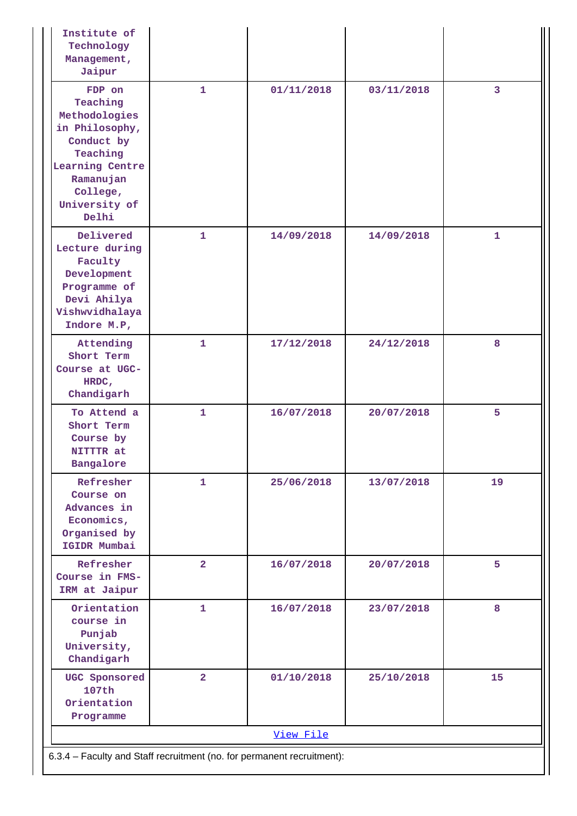| Institute of<br>Technology<br>Management,<br>Jaipur                                                                                                   |                |            |            |                |  |  |  |
|-------------------------------------------------------------------------------------------------------------------------------------------------------|----------------|------------|------------|----------------|--|--|--|
| FDP on<br>Teaching<br>Methodologies<br>in Philosophy,<br>Conduct by<br>Teaching<br>Learning Centre<br>Ramanujan<br>College,<br>University of<br>Delhi | $\mathbf{1}$   | 01/11/2018 | 03/11/2018 | $\overline{3}$ |  |  |  |
| Delivered<br>Lecture during<br>Faculty<br>Development<br>Programme of<br>Devi Ahilya<br>Vishwvidhalaya<br>Indore M.P,                                 | $\mathbf{1}$   | 14/09/2018 | 14/09/2018 | $\mathbf{1}$   |  |  |  |
| Attending<br>Short Term<br>Course at UGC-<br>HRDC,<br>Chandigarh                                                                                      | $\mathbf{1}$   | 17/12/2018 | 24/12/2018 | 8              |  |  |  |
| To Attend a<br>Short Term<br>Course by<br>NITTTR at<br>Bangalore                                                                                      | $\mathbf{1}$   | 16/07/2018 | 20/07/2018 | 5              |  |  |  |
| Refresher<br>Course on<br>Advances in<br>Economics,<br>Organised by<br>IGIDR Mumbai                                                                   | $\mathbf{1}$   | 25/06/2018 | 13/07/2018 | 19             |  |  |  |
| Refresher<br>Course in FMS-<br>IRM at Jaipur                                                                                                          | $\overline{a}$ | 16/07/2018 | 20/07/2018 | 5              |  |  |  |
| Orientation<br>course in<br>Punjab<br>University,<br>Chandigarh                                                                                       | 1              | 16/07/2018 | 23/07/2018 | 8              |  |  |  |
| UGC Sponsored<br>107th<br>Orientation<br>Programme                                                                                                    | $\overline{a}$ | 01/10/2018 | 25/10/2018 | 15             |  |  |  |
|                                                                                                                                                       |                | View File  |            |                |  |  |  |
| 6.3.4 - Faculty and Staff recruitment (no. for permanent recruitment):                                                                                |                |            |            |                |  |  |  |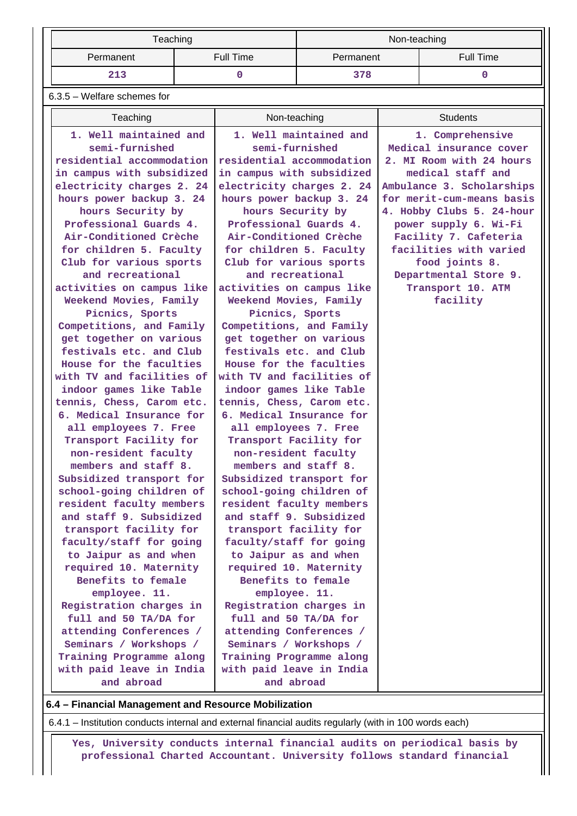|           | Teaching  | Non-teaching |           |  |  |
|-----------|-----------|--------------|-----------|--|--|
| Permanent | Full Time | Permanent    | Full Time |  |  |
| 213       |           | 378          |           |  |  |

6.3.5 – Welfare schemes for

| Teaching                                             | Non-teaching                                         | <b>Students</b>                                 |
|------------------------------------------------------|------------------------------------------------------|-------------------------------------------------|
| 1. Well maintained and                               | 1. Well maintained and                               | 1. Comprehensive                                |
| semi-furnished                                       | semi-furnished                                       | Medical insurance cover                         |
| residential accommodation                            | residential accommodation                            | 2. MI Room with 24 hours                        |
| in campus with subsidized                            | in campus with subsidized                            | medical staff and                               |
| electricity charges 2. 24                            | electricity charges 2. 24                            | Ambulance 3. Scholarships                       |
| hours power backup 3. 24                             | hours power backup 3. 24                             | for merit-cum-means basis                       |
| hours Security by                                    | hours Security by                                    | 4. Hobby Clubs 5. 24-hour                       |
| Professional Guards 4.<br>Air-Conditioned Crèche     | Professional Guards 4.<br>Air-Conditioned Crèche     | power supply 6. Wi-Fi                           |
| for children 5. Faculty                              | for children 5. Faculty                              | Facility 7. Cafeteria<br>facilities with varied |
| Club for various sports                              | Club for various sports                              | food joints 8.                                  |
| and recreational                                     | and recreational                                     | Departmental Store 9.                           |
| activities on campus like                            | activities on campus like                            | Transport 10. ATM                               |
| Weekend Movies, Family                               | Weekend Movies, Family                               | facility                                        |
| Picnics, Sports                                      | Picnics, Sports                                      |                                                 |
| Competitions, and Family                             | Competitions, and Family                             |                                                 |
| get together on various                              | get together on various                              |                                                 |
| festivals etc. and Club                              | festivals etc. and Club                              |                                                 |
| House for the faculties                              | House for the faculties                              |                                                 |
| with TV and facilities of                            | with TV and facilities of                            |                                                 |
| indoor games like Table                              | indoor games like Table                              |                                                 |
| tennis, Chess, Carom etc.                            | tennis, Chess, Carom etc.                            |                                                 |
| 6. Medical Insurance for                             | 6. Medical Insurance for                             |                                                 |
| all employees 7. Free                                | all employees 7. Free                                |                                                 |
| Transport Facility for                               | Transport Facility for                               |                                                 |
| non-resident faculty                                 | non-resident faculty                                 |                                                 |
| members and staff 8.                                 | members and staff 8.                                 |                                                 |
| Subsidized transport for<br>school-going children of | Subsidized transport for<br>school-going children of |                                                 |
| resident faculty members                             | resident faculty members                             |                                                 |
| and staff 9. Subsidized                              | and staff 9. Subsidized                              |                                                 |
| transport facility for                               | transport facility for                               |                                                 |
| faculty/staff for going                              | faculty/staff for going                              |                                                 |
| to Jaipur as and when                                | to Jaipur as and when                                |                                                 |
| required 10. Maternity                               | required 10. Maternity                               |                                                 |
| Benefits to female                                   | Benefits to female                                   |                                                 |
| employee. 11.                                        | employee. 11.                                        |                                                 |
| Registration charges in                              | Registration charges in                              |                                                 |
| full and 50 TA/DA for                                | full and 50 TA/DA for                                |                                                 |
| attending Conferences /                              | attending Conferences /                              |                                                 |
| Seminars / Workshops /                               | Seminars / Workshops /                               |                                                 |
| Training Programme along                             | Training Programme along                             |                                                 |
| with paid leave in India                             | with paid leave in India                             |                                                 |
| and abroad                                           | and abroad                                           |                                                 |

### **6.4 – Financial Management and Resource Mobilization**

6.4.1 – Institution conducts internal and external financial audits regularly (with in 100 words each)

 **Yes, University conducts internal financial audits on periodical basis by professional Charted Accountant. University follows standard financial**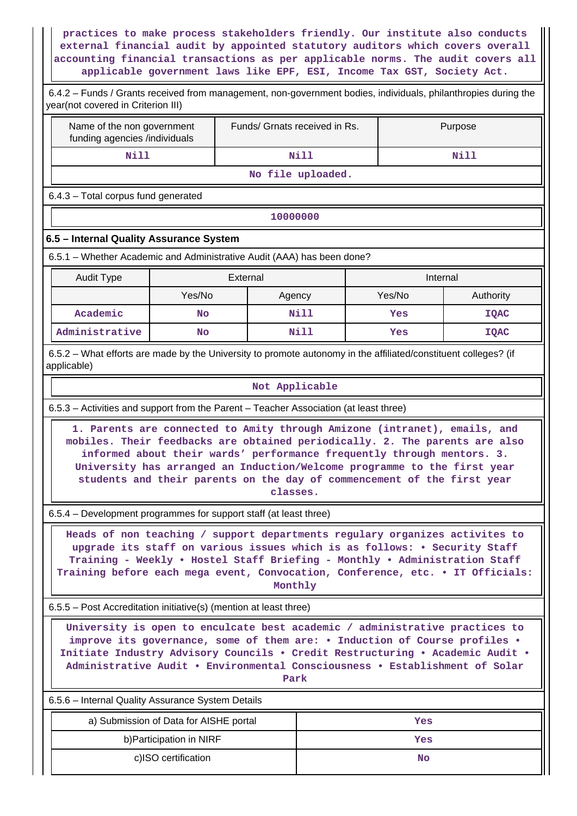**practices to make process stakeholders friendly. Our institute also conducts external financial audit by appointed statutory auditors which covers overall accounting financial transactions as per applicable norms. The audit covers all applicable government laws like EPF, ESI, Income Tax GST, Society Act.**

| Name of the non government                                                                                                                                                                                                                                                                                                        |                                        | Funds/ Grnats received in Rs.                                                                                                                                                                                                                                                                                                                                                                                                                                                     |                   |  |               | Purpose                  |  |
|-----------------------------------------------------------------------------------------------------------------------------------------------------------------------------------------------------------------------------------------------------------------------------------------------------------------------------------|----------------------------------------|-----------------------------------------------------------------------------------------------------------------------------------------------------------------------------------------------------------------------------------------------------------------------------------------------------------------------------------------------------------------------------------------------------------------------------------------------------------------------------------|-------------------|--|---------------|--------------------------|--|
| funding agencies /individuals<br><b>Nill</b>                                                                                                                                                                                                                                                                                      |                                        |                                                                                                                                                                                                                                                                                                                                                                                                                                                                                   | <b>Nill</b>       |  |               |                          |  |
|                                                                                                                                                                                                                                                                                                                                   |                                        |                                                                                                                                                                                                                                                                                                                                                                                                                                                                                   | No file uploaded. |  |               | Nill                     |  |
| 6.4.3 - Total corpus fund generated                                                                                                                                                                                                                                                                                               |                                        |                                                                                                                                                                                                                                                                                                                                                                                                                                                                                   |                   |  |               |                          |  |
|                                                                                                                                                                                                                                                                                                                                   |                                        |                                                                                                                                                                                                                                                                                                                                                                                                                                                                                   |                   |  |               |                          |  |
|                                                                                                                                                                                                                                                                                                                                   |                                        | 10000000                                                                                                                                                                                                                                                                                                                                                                                                                                                                          |                   |  |               |                          |  |
| 6.5 - Internal Quality Assurance System                                                                                                                                                                                                                                                                                           |                                        |                                                                                                                                                                                                                                                                                                                                                                                                                                                                                   |                   |  |               |                          |  |
| 6.5.1 – Whether Academic and Administrative Audit (AAA) has been done?                                                                                                                                                                                                                                                            |                                        |                                                                                                                                                                                                                                                                                                                                                                                                                                                                                   |                   |  |               |                          |  |
| <b>Audit Type</b>                                                                                                                                                                                                                                                                                                                 |                                        | External                                                                                                                                                                                                                                                                                                                                                                                                                                                                          |                   |  | Internal      |                          |  |
| Academic                                                                                                                                                                                                                                                                                                                          | Yes/No<br><b>No</b>                    | Agency                                                                                                                                                                                                                                                                                                                                                                                                                                                                            | Nill              |  | Yes/No<br>Yes | Authority<br><b>IQAC</b> |  |
| Administrative                                                                                                                                                                                                                                                                                                                    | <b>No</b>                              |                                                                                                                                                                                                                                                                                                                                                                                                                                                                                   | <b>Nill</b>       |  | Yes           | <b>IQAC</b>              |  |
| 6.5.2 – What efforts are made by the University to promote autonomy in the affiliated/constituent colleges? (if                                                                                                                                                                                                                   |                                        |                                                                                                                                                                                                                                                                                                                                                                                                                                                                                   |                   |  |               |                          |  |
| mobiles. Their feedbacks are obtained periodically. 2. The parents are also<br>6.5.4 - Development programmes for support staff (at least three)<br>Heads of non teaching / support departments regulary organizes activites to<br>Training before each mega event, Convocation, Conference, etc. . IT Officials:                 |                                        | 1. Parents are connected to Amity through Amizone (intranet), emails, and<br>informed about their wards' performance frequently through mentors. 3.<br>University has arranged an Induction/Welcome programme to the first year<br>students and their parents on the day of commencement of the first year<br>classes.<br>upgrade its staff on various issues which is as follows: • Security Staff<br>Training - Weekly . Hostel Staff Briefing - Monthly . Administration Staff |                   |  |               |                          |  |
|                                                                                                                                                                                                                                                                                                                                   |                                        | Monthly                                                                                                                                                                                                                                                                                                                                                                                                                                                                           |                   |  |               |                          |  |
| 6.5.5 – Post Accreditation initiative(s) (mention at least three)                                                                                                                                                                                                                                                                 |                                        |                                                                                                                                                                                                                                                                                                                                                                                                                                                                                   |                   |  |               |                          |  |
| University is open to enculcate best academic / administrative practices to<br>improve its governance, some of them are: . Induction of Course profiles .<br>Initiate Industry Advisory Councils . Credit Restructuring . Academic Audit .<br>Administrative Audit . Environmental Consciousness . Establishment of Solar<br>Park |                                        |                                                                                                                                                                                                                                                                                                                                                                                                                                                                                   |                   |  |               |                          |  |
| 6.5.6 - Internal Quality Assurance System Details                                                                                                                                                                                                                                                                                 |                                        |                                                                                                                                                                                                                                                                                                                                                                                                                                                                                   |                   |  |               |                          |  |
|                                                                                                                                                                                                                                                                                                                                   | a) Submission of Data for AISHE portal |                                                                                                                                                                                                                                                                                                                                                                                                                                                                                   |                   |  | Yes           |                          |  |
| b) Participation in NIRF<br>Yes                                                                                                                                                                                                                                                                                                   |                                        |                                                                                                                                                                                                                                                                                                                                                                                                                                                                                   |                   |  |               |                          |  |

c)ISO certification **No**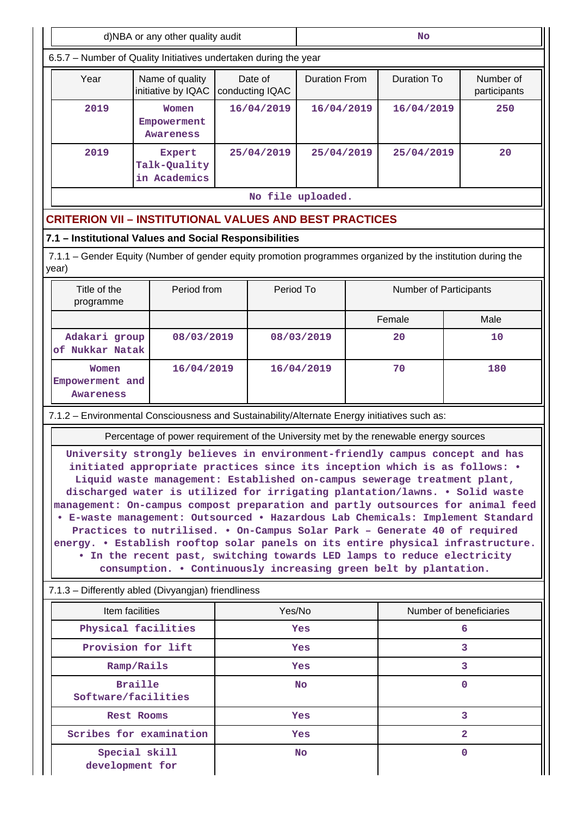| d)NBA or any other quality audit<br><b>No</b>                                                                                                                                                                                                                                                                                                                                                                                                                                                                                                                                                                                                                                                                                                                                                            |                                               |                                                                                       |                                            |  |                        |                           |  |  |
|----------------------------------------------------------------------------------------------------------------------------------------------------------------------------------------------------------------------------------------------------------------------------------------------------------------------------------------------------------------------------------------------------------------------------------------------------------------------------------------------------------------------------------------------------------------------------------------------------------------------------------------------------------------------------------------------------------------------------------------------------------------------------------------------------------|-----------------------------------------------|---------------------------------------------------------------------------------------|--------------------------------------------|--|------------------------|---------------------------|--|--|
| 6.5.7 - Number of Quality Initiatives undertaken during the year                                                                                                                                                                                                                                                                                                                                                                                                                                                                                                                                                                                                                                                                                                                                         |                                               |                                                                                       |                                            |  |                        |                           |  |  |
| Year                                                                                                                                                                                                                                                                                                                                                                                                                                                                                                                                                                                                                                                                                                                                                                                                     | Name of quality<br>initiative by IQAC         | Date of<br>conducting IQAC                                                            | <b>Duration From</b><br><b>Duration To</b> |  |                        | Number of<br>participants |  |  |
| 2019                                                                                                                                                                                                                                                                                                                                                                                                                                                                                                                                                                                                                                                                                                                                                                                                     | Women<br>Empowerment<br><b>Awareness</b>      | 16/04/2019                                                                            | 16/04/2019                                 |  | 16/04/2019             | 250                       |  |  |
| 2019                                                                                                                                                                                                                                                                                                                                                                                                                                                                                                                                                                                                                                                                                                                                                                                                     | <b>Expert</b><br>Talk-Quality<br>in Academics | 25/04/2019                                                                            | 25/04/2019                                 |  | 25/04/2019             | 20                        |  |  |
|                                                                                                                                                                                                                                                                                                                                                                                                                                                                                                                                                                                                                                                                                                                                                                                                          |                                               |                                                                                       | No file uploaded.                          |  |                        |                           |  |  |
| <b>CRITERION VII – INSTITUTIONAL VALUES AND BEST PRACTICES</b>                                                                                                                                                                                                                                                                                                                                                                                                                                                                                                                                                                                                                                                                                                                                           |                                               |                                                                                       |                                            |  |                        |                           |  |  |
| 7.1 - Institutional Values and Social Responsibilities                                                                                                                                                                                                                                                                                                                                                                                                                                                                                                                                                                                                                                                                                                                                                   |                                               |                                                                                       |                                            |  |                        |                           |  |  |
| 7.1.1 – Gender Equity (Number of gender equity promotion programmes organized by the institution during the<br>year)                                                                                                                                                                                                                                                                                                                                                                                                                                                                                                                                                                                                                                                                                     |                                               |                                                                                       |                                            |  |                        |                           |  |  |
| Title of the<br>programme                                                                                                                                                                                                                                                                                                                                                                                                                                                                                                                                                                                                                                                                                                                                                                                | Period from                                   | Period To                                                                             |                                            |  | Number of Participants |                           |  |  |
|                                                                                                                                                                                                                                                                                                                                                                                                                                                                                                                                                                                                                                                                                                                                                                                                          |                                               |                                                                                       |                                            |  | Female                 | Male                      |  |  |
| Adakari group<br>of Nukkar Natak                                                                                                                                                                                                                                                                                                                                                                                                                                                                                                                                                                                                                                                                                                                                                                         | 08/03/2019                                    |                                                                                       | 08/03/2019                                 |  | 20                     | 10                        |  |  |
| Women<br>Empowerment and<br>Awareness                                                                                                                                                                                                                                                                                                                                                                                                                                                                                                                                                                                                                                                                                                                                                                    |                                               | 70<br>16/04/2019<br>16/04/2019                                                        |                                            |  | 180                    |                           |  |  |
| 7.1.2 - Environmental Consciousness and Sustainability/Alternate Energy initiatives such as:                                                                                                                                                                                                                                                                                                                                                                                                                                                                                                                                                                                                                                                                                                             |                                               |                                                                                       |                                            |  |                        |                           |  |  |
|                                                                                                                                                                                                                                                                                                                                                                                                                                                                                                                                                                                                                                                                                                                                                                                                          |                                               | Percentage of power requirement of the University met by the renewable energy sources |                                            |  |                        |                           |  |  |
| University strongly believes in environment-friendly campus concept and has<br>initiated appropriate practices since its inception which is as follows: .<br>Liquid waste management: Established on-campus sewerage treatment plant,<br>discharged water is utilized for irrigating plantation/lawns. . Solid waste<br>management: On-campus compost preparation and partly outsources for animal feed<br>• E-waste management: Outsourced • Hazardous Lab Chemicals: Implement Standard<br>Practices to nutrilised. . On-Campus Solar Park - Generate 40 of required<br>energy. . Establish rooftop solar panels on its entire physical infrastructure.<br>. In the recent past, switching towards LED lamps to reduce electricity<br>consumption. . Continuously increasing green belt by plantation. |                                               |                                                                                       |                                            |  |                        |                           |  |  |
| 7.1.3 - Differently abled (Divyangjan) friendliness                                                                                                                                                                                                                                                                                                                                                                                                                                                                                                                                                                                                                                                                                                                                                      |                                               |                                                                                       |                                            |  |                        |                           |  |  |
| Item facilities                                                                                                                                                                                                                                                                                                                                                                                                                                                                                                                                                                                                                                                                                                                                                                                          |                                               | Yes/No                                                                                |                                            |  |                        | Number of beneficiaries   |  |  |
| Physical facilities                                                                                                                                                                                                                                                                                                                                                                                                                                                                                                                                                                                                                                                                                                                                                                                      |                                               |                                                                                       | Yes                                        |  |                        | 6                         |  |  |
| Provision for lift                                                                                                                                                                                                                                                                                                                                                                                                                                                                                                                                                                                                                                                                                                                                                                                       |                                               |                                                                                       | Yes                                        |  |                        | 3                         |  |  |
| Ramp/Rails                                                                                                                                                                                                                                                                                                                                                                                                                                                                                                                                                                                                                                                                                                                                                                                               |                                               |                                                                                       | <b>Yes</b>                                 |  |                        | 3                         |  |  |
| <b>Braille</b><br>Software/facilities                                                                                                                                                                                                                                                                                                                                                                                                                                                                                                                                                                                                                                                                                                                                                                    |                                               |                                                                                       | <b>No</b>                                  |  |                        | $\mathbf{0}$              |  |  |
| <b>Rest Rooms</b>                                                                                                                                                                                                                                                                                                                                                                                                                                                                                                                                                                                                                                                                                                                                                                                        |                                               |                                                                                       | Yes                                        |  |                        | 3                         |  |  |
| Scribes for examination                                                                                                                                                                                                                                                                                                                                                                                                                                                                                                                                                                                                                                                                                                                                                                                  |                                               |                                                                                       | Yes                                        |  |                        | 2                         |  |  |
| Special skill<br>$\mathbf 0$<br>No<br>development for                                                                                                                                                                                                                                                                                                                                                                                                                                                                                                                                                                                                                                                                                                                                                    |                                               |                                                                                       |                                            |  |                        |                           |  |  |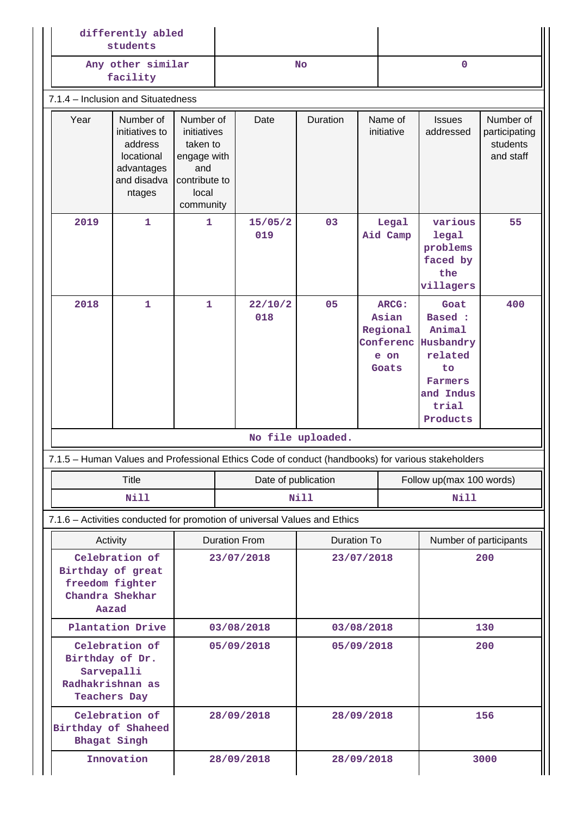|                                    | differently abled<br>students                                                               |                                                                                                   |             |                                                                                                   |                                                                       |                       |                   |                                                                                                            |                                                     |  |
|------------------------------------|---------------------------------------------------------------------------------------------|---------------------------------------------------------------------------------------------------|-------------|---------------------------------------------------------------------------------------------------|-----------------------------------------------------------------------|-----------------------|-------------------|------------------------------------------------------------------------------------------------------------|-----------------------------------------------------|--|
|                                    | Any other similar<br>facility                                                               |                                                                                                   |             |                                                                                                   | <b>No</b>                                                             |                       | $\mathbf 0$       |                                                                                                            |                                                     |  |
| 7.1.4 - Inclusion and Situatedness |                                                                                             |                                                                                                   |             |                                                                                                   |                                                                       |                       |                   |                                                                                                            |                                                     |  |
| Year                               | Number of<br>initiatives to<br>address<br>locational<br>advantages<br>and disadva<br>ntages | Number of<br>initiatives<br>taken to<br>engage with<br>and<br>contribute to<br>local<br>community |             | Date                                                                                              | Duration                                                              | Name of<br>initiative |                   | <b>Issues</b><br>addressed                                                                                 | Number of<br>participating<br>students<br>and staff |  |
| 2019                               | $\mathbf{1}$                                                                                | $\mathbf{1}$                                                                                      |             | 15/05/2<br>019                                                                                    | 03                                                                    |                       | Legal<br>Aid Camp | various<br>legal<br>problems<br>faced by<br>the<br>villagers                                               | 55                                                  |  |
| 2018                               | $\mathbf{1}$                                                                                | $\mathbf{1}$                                                                                      |             | 22/10/2<br>018                                                                                    | 05<br><b>ARCG:</b><br>Asian<br>Regional<br>Conferenc<br>e on<br>Goats |                       |                   | Goat<br><b>Based:</b><br>Animal<br>Husbandry<br>related<br>to<br>Farmers<br>and Indus<br>trial<br>Products | 400                                                 |  |
|                                    |                                                                                             |                                                                                                   |             |                                                                                                   | No file uploaded.                                                     |                       |                   |                                                                                                            |                                                     |  |
|                                    |                                                                                             |                                                                                                   |             | 7.1.5 - Human Values and Professional Ethics Code of conduct (handbooks) for various stakeholders |                                                                       |                       |                   |                                                                                                            |                                                     |  |
|                                    | <b>Title</b>                                                                                |                                                                                                   |             | Date of publication                                                                               |                                                                       |                       |                   | Follow up(max 100 words)                                                                                   |                                                     |  |
|                                    | <b>Nill</b>                                                                                 |                                                                                                   | <b>Nill</b> |                                                                                                   |                                                                       | <b>Nill</b>           |                   |                                                                                                            |                                                     |  |
|                                    |                                                                                             |                                                                                                   |             | 7.1.6 - Activities conducted for promotion of universal Values and Ethics                         |                                                                       |                       |                   |                                                                                                            |                                                     |  |
|                                    | Activity                                                                                    |                                                                                                   |             | <b>Duration From</b>                                                                              | Duration To                                                           |                       |                   | Number of participants                                                                                     |                                                     |  |
|                                    | Celebration of<br>Birthday of great<br>freedom fighter<br>Chandra Shekhar<br>Aazad          | 23/07/2018                                                                                        |             | 23/07/2018                                                                                        |                                                                       |                       | 200               |                                                                                                            |                                                     |  |
|                                    | Plantation Drive                                                                            | 03/08/2018                                                                                        |             |                                                                                                   | 03/08/2018                                                            |                       |                   |                                                                                                            | 130                                                 |  |
| Birthday of Dr.                    | Celebration of<br>Sarvepalli<br>Radhakrishnan as<br><b>Teachers Day</b>                     | 05/09/2018                                                                                        |             |                                                                                                   | 05/09/2018                                                            |                       |                   |                                                                                                            | 200                                                 |  |
|                                    | Celebration of<br>Birthday of Shaheed<br>Bhagat Singh                                       |                                                                                                   |             | 28/09/2018                                                                                        | 28/09/2018                                                            |                       |                   | 156                                                                                                        |                                                     |  |
|                                    | Innovation                                                                                  |                                                                                                   |             | 28/09/2018                                                                                        | 28/09/2018                                                            |                       |                   | 3000                                                                                                       |                                                     |  |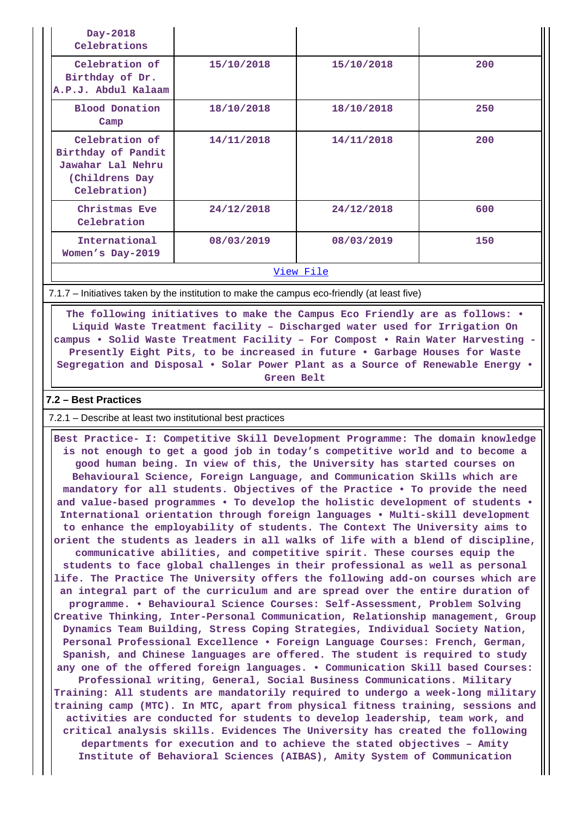| Day-2018<br>Celebrations                                                                     |            |            |     |
|----------------------------------------------------------------------------------------------|------------|------------|-----|
| Celebration of<br>Birthday of Dr.<br>A.P.J. Abdul Kalaam                                     | 15/10/2018 | 15/10/2018 | 200 |
| <b>Blood Donation</b><br>Camp                                                                | 18/10/2018 | 18/10/2018 | 250 |
| Celebration of<br>Birthday of Pandit<br>Jawahar Lal Nehru<br>(Childrens Day)<br>Celebration) | 14/11/2018 | 14/11/2018 | 200 |
| Christmas Eve<br>Celebration                                                                 | 24/12/2018 | 24/12/2018 | 600 |
| International<br>Women's Day-2019                                                            | 08/03/2019 | 08/03/2019 | 150 |
|                                                                                              |            | View File  |     |

7.1.7 – Initiatives taken by the institution to make the campus eco-friendly (at least five)

 **The following initiatives to make the Campus Eco Friendly are as follows: • Liquid Waste Treatment facility – Discharged water used for Irrigation On campus • Solid Waste Treatment Facility – For Compost • Rain Water Harvesting - Presently Eight Pits, to be increased in future • Garbage Houses for Waste Segregation and Disposal • Solar Power Plant as a Source of Renewable Energy • Green Belt**

#### **7.2 – Best Practices**

7.2.1 – Describe at least two institutional best practices

 **Best Practice- I: Competitive Skill Development Programme: The domain knowledge is not enough to get a good job in today's competitive world and to become a good human being. In view of this, the University has started courses on Behavioural Science, Foreign Language, and Communication Skills which are mandatory for all students. Objectives of the Practice • To provide the need and value-based programmes • To develop the holistic development of students • International orientation through foreign languages • Multi-skill development to enhance the employability of students. The Context The University aims to orient the students as leaders in all walks of life with a blend of discipline, communicative abilities, and competitive spirit. These courses equip the students to face global challenges in their professional as well as personal life. The Practice The University offers the following add-on courses which are an integral part of the curriculum and are spread over the entire duration of programme. • Behavioural Science Courses: Self-Assessment, Problem Solving Creative Thinking, Inter-Personal Communication, Relationship management, Group Dynamics Team Building, Stress Coping Strategies, Individual Society Nation, Personal Professional Excellence • Foreign Language Courses: French, German, Spanish, and Chinese languages are offered. The student is required to study any one of the offered foreign languages. • Communication Skill based Courses: Professional writing, General, Social Business Communications. Military Training: All students are mandatorily required to undergo a week-long military training camp (MTC). In MTC, apart from physical fitness training, sessions and activities are conducted for students to develop leadership, team work, and critical analysis skills. Evidences The University has created the following departments for execution and to achieve the stated objectives – Amity Institute of Behavioral Sciences (AIBAS), Amity System of Communication**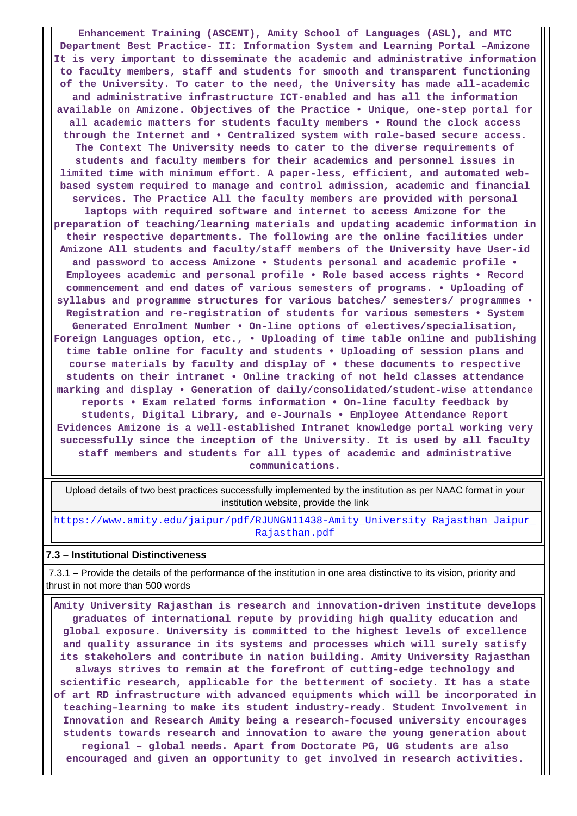**Enhancement Training (ASCENT), Amity School of Languages (ASL), and MTC Department Best Practice- II: Information System and Learning Portal –Amizone It is very important to disseminate the academic and administrative information to faculty members, staff and students for smooth and transparent functioning of the University. To cater to the need, the University has made all-academic and administrative infrastructure ICT-enabled and has all the information available on Amizone. Objectives of the Practice • Unique, one-step portal for all academic matters for students faculty members • Round the clock access through the Internet and • Centralized system with role-based secure access. The Context The University needs to cater to the diverse requirements of students and faculty members for their academics and personnel issues in limited time with minimum effort. A paper-less, efficient, and automated webbased system required to manage and control admission, academic and financial services. The Practice All the faculty members are provided with personal laptops with required software and internet to access Amizone for the preparation of teaching/learning materials and updating academic information in their respective departments. The following are the online facilities under Amizone All students and faculty/staff members of the University have User-id and password to access Amizone • Students personal and academic profile • Employees academic and personal profile • Role based access rights • Record commencement and end dates of various semesters of programs. • Uploading of syllabus and programme structures for various batches/ semesters/ programmes • Registration and re-registration of students for various semesters • System Generated Enrolment Number • On-line options of electives/specialisation, Foreign Languages option, etc., • Uploading of time table online and publishing time table online for faculty and students • Uploading of session plans and course materials by faculty and display of • these documents to respective students on their intranet • Online tracking of not held classes attendance marking and display • Generation of daily/consolidated/student-wise attendance reports • Exam related forms information • On-line faculty feedback by students, Digital Library, and e-Journals • Employee Attendance Report Evidences Amizone is a well-established Intranet knowledge portal working very successfully since the inception of the University. It is used by all faculty staff members and students for all types of academic and administrative communications.**

 Upload details of two best practices successfully implemented by the institution as per NAAC format in your institution website, provide the link

https://www.amity.edu/jaipur/pdf/RJUNGN11438-Amity\_University\_Rajasthan\_Jaipur [Rajasthan.pdf](https://www.amity.edu/jaipur/pdf/RJUNGN11438-Amity_University_Rajasthan_Jaipur_Rajasthan.pdf)

#### **7.3 – Institutional Distinctiveness**

 7.3.1 – Provide the details of the performance of the institution in one area distinctive to its vision, priority and thrust in not more than 500 words

 **Amity University Rajasthan is research and innovation-driven institute develops graduates of international repute by providing high quality education and global exposure. University is committed to the highest levels of excellence and quality assurance in its systems and processes which will surely satisfy its stakeholers and contribute in nation building. Amity University Rajasthan always strives to remain at the forefront of cutting-edge technology and scientific research, applicable for the betterment of society. It has a state of art RD infrastructure with advanced equipments which will be incorporated in teaching–learning to make its student industry-ready. Student Involvement in Innovation and Research Amity being a research-focused university encourages students towards research and innovation to aware the young generation about regional – global needs. Apart from Doctorate PG, UG students are also encouraged and given an opportunity to get involved in research activities.**